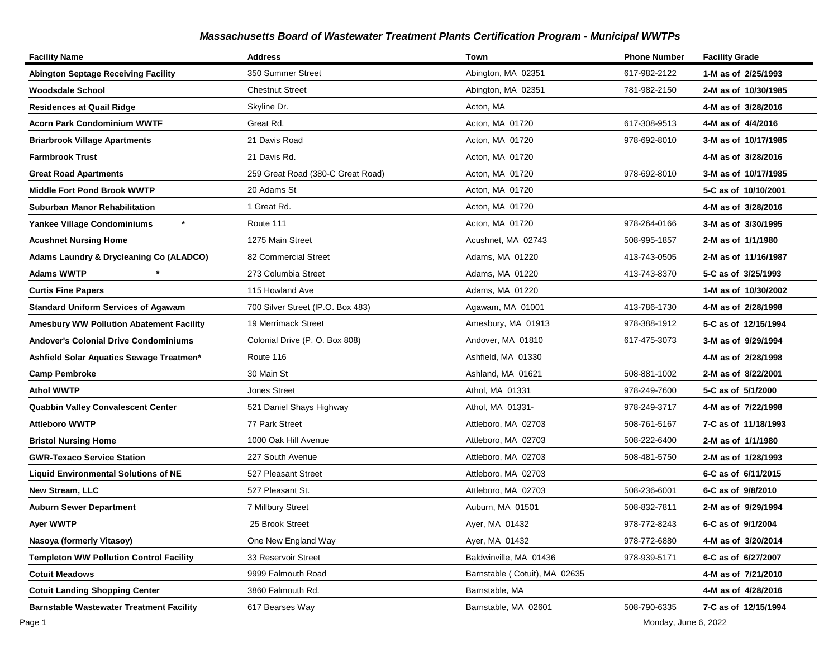| <b>Facility Name</b>                            | <b>Address</b>                    | Town                          | <b>Phone Number</b> | <b>Facility Grade</b> |
|-------------------------------------------------|-----------------------------------|-------------------------------|---------------------|-----------------------|
| <b>Abington Septage Receiving Facility</b>      | 350 Summer Street                 | Abington, MA 02351            | 617-982-2122        | 1-M as of 2/25/1993   |
| Woodsdale School                                | <b>Chestnut Street</b>            | Abington, MA 02351            | 781-982-2150        | 2-M as of 10/30/1985  |
| <b>Residences at Quail Ridge</b>                | Skyline Dr.                       | Acton, MA                     |                     | 4-M as of 3/28/2016   |
| <b>Acorn Park Condominium WWTF</b>              | Great Rd.                         | Acton, MA 01720               | 617-308-9513        | 4-M as of 4/4/2016    |
| <b>Briarbrook Village Apartments</b>            | 21 Davis Road                     | Acton, MA 01720               | 978-692-8010        | 3-M as of 10/17/1985  |
| <b>Farmbrook Trust</b>                          | 21 Davis Rd.                      | Acton, MA 01720               |                     | 4-M as of 3/28/2016   |
| <b>Great Road Apartments</b>                    | 259 Great Road (380-C Great Road) | Acton, MA 01720               | 978-692-8010        | 3-M as of 10/17/1985  |
| <b>Middle Fort Pond Brook WWTP</b>              | 20 Adams St                       | Acton, MA 01720               |                     | 5-C as of 10/10/2001  |
| <b>Suburban Manor Rehabilitation</b>            | 1 Great Rd.                       | Acton, MA 01720               |                     | 4-M as of 3/28/2016   |
| $\star$<br><b>Yankee Village Condominiums</b>   | Route 111                         | Acton, MA 01720               | 978-264-0166        | 3-M as of 3/30/1995   |
| <b>Acushnet Nursing Home</b>                    | 1275 Main Street                  | Acushnet, MA 02743            | 508-995-1857        | 2-M as of 1/1/1980    |
| Adams Laundry & Drycleaning Co (ALADCO)         | 82 Commercial Street              | Adams, MA 01220               | 413-743-0505        | 2-M as of 11/16/1987  |
| <b>Adams WWTP</b>                               | 273 Columbia Street               | Adams, MA 01220               | 413-743-8370        | 5-C as of 3/25/1993   |
| <b>Curtis Fine Papers</b>                       | 115 Howland Ave                   | Adams, MA 01220               |                     | 1-M as of 10/30/2002  |
| <b>Standard Uniform Services of Agawam</b>      | 700 Silver Street (IP.O. Box 483) | Agawam, MA 01001              | 413-786-1730        | 4-M as of 2/28/1998   |
| <b>Amesbury WW Pollution Abatement Facility</b> | 19 Merrimack Street               | Amesbury, MA 01913            | 978-388-1912        | 5-C as of 12/15/1994  |
| <b>Andover's Colonial Drive Condominiums</b>    | Colonial Drive (P. O. Box 808)    | Andover, MA 01810             | 617-475-3073        | 3-M as of 9/29/1994   |
| Ashfield Solar Aquatics Sewage Treatmen*        | Route 116                         | Ashfield, MA 01330            |                     | 4-M as of 2/28/1998   |
| <b>Camp Pembroke</b>                            | 30 Main St                        | Ashland, MA 01621             | 508-881-1002        | 2-M as of 8/22/2001   |
| <b>Athol WWTP</b>                               | <b>Jones Street</b>               | Athol, MA 01331               | 978-249-7600        | 5-C as of 5/1/2000    |
| <b>Quabbin Valley Convalescent Center</b>       | 521 Daniel Shays Highway          | Athol, MA 01331-              | 978-249-3717        | 4-M as of 7/22/1998   |
| <b>Attleboro WWTP</b>                           | 77 Park Street                    | Attleboro, MA 02703           | 508-761-5167        | 7-C as of 11/18/1993  |
| <b>Bristol Nursing Home</b>                     | 1000 Oak Hill Avenue              | Attleboro, MA 02703           | 508-222-6400        | 2-M as of 1/1/1980    |
| <b>GWR-Texaco Service Station</b>               | 227 South Avenue                  | Attleboro, MA 02703           | 508-481-5750        | 2-M as of 1/28/1993   |
| <b>Liquid Environmental Solutions of NE</b>     | 527 Pleasant Street               | Attleboro, MA 02703           |                     | 6-C as of 6/11/2015   |
| <b>New Stream, LLC</b>                          | 527 Pleasant St.                  | Attleboro, MA 02703           | 508-236-6001        | 6-C as of 9/8/2010    |
| <b>Auburn Sewer Department</b>                  | 7 Millbury Street                 | Auburn, MA 01501              | 508-832-7811        | 2-M as of 9/29/1994   |
| Ayer WWTP                                       | 25 Brook Street                   | Ayer, MA 01432                | 978-772-8243        | 6-C as of 9/1/2004    |
| Nasoya (formerly Vitasoy)                       | One New England Way               | Ayer, MA 01432                | 978-772-6880        | 4-M as of 3/20/2014   |
| <b>Templeton WW Pollution Control Facility</b>  | 33 Reservoir Street               | Baldwinville, MA 01436        | 978-939-5171        | 6-C as of 6/27/2007   |
| <b>Cotuit Meadows</b>                           | 9999 Falmouth Road                | Barnstable (Cotuit), MA 02635 |                     | 4-M as of 7/21/2010   |
| <b>Cotuit Landing Shopping Center</b>           | 3860 Falmouth Rd.                 | Barnstable, MA                |                     | 4-M as of 4/28/2016   |
| <b>Barnstable Wastewater Treatment Facility</b> | 617 Bearses Way                   | Barnstable, MA 02601          | 508-790-6335        | 7-C as of 12/15/1994  |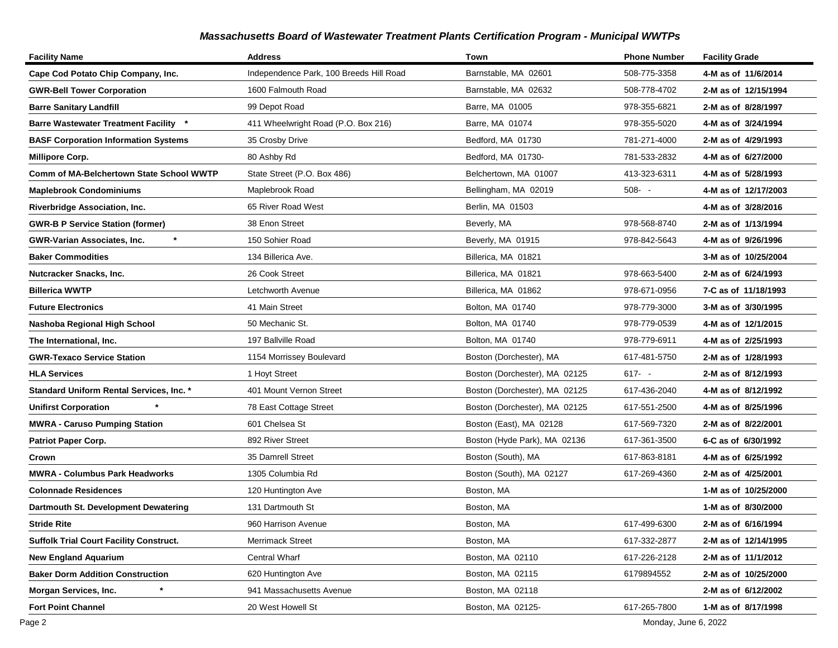| <b>Facility Name</b>                            | <b>Address</b>                          | Town                          | <b>Phone Number</b> | <b>Facility Grade</b> |
|-------------------------------------------------|-----------------------------------------|-------------------------------|---------------------|-----------------------|
| Cape Cod Potato Chip Company, Inc.              | Independence Park, 100 Breeds Hill Road | Barnstable, MA 02601          | 508-775-3358        | 4-M as of 11/6/2014   |
| <b>GWR-Bell Tower Corporation</b>               | 1600 Falmouth Road                      | Barnstable, MA 02632          | 508-778-4702        | 2-M as of 12/15/1994  |
| <b>Barre Sanitary Landfill</b>                  | 99 Depot Road                           | Barre, MA 01005               | 978-355-6821        | 2-M as of 8/28/1997   |
| <b>Barre Wastewater Treatment Facility</b>      | 411 Wheelwright Road (P.O. Box 216)     | Barre, MA 01074               | 978-355-5020        | 4-M as of 3/24/1994   |
| <b>BASF Corporation Information Systems</b>     | 35 Crosby Drive                         | Bedford, MA 01730             | 781-271-4000        | 2-M as of 4/29/1993   |
| <b>Millipore Corp.</b>                          | 80 Ashby Rd                             | Bedford, MA 01730-            | 781-533-2832        | 4-M as of 6/27/2000   |
| Comm of MA-Belchertown State School WWTP        | State Street (P.O. Box 486)             | Belchertown, MA 01007         | 413-323-6311        | 4-M as of 5/28/1993   |
| <b>Maplebrook Condominiums</b>                  | Maplebrook Road                         | Bellingham, MA 02019          | $508 - -$           | 4-M as of 12/17/2003  |
| Riverbridge Association, Inc.                   | 65 River Road West                      | Berlin, MA 01503              |                     | 4-M as of 3/28/2016   |
| <b>GWR-B P Service Station (former)</b>         | 38 Enon Street                          | Beverly, MA                   | 978-568-8740        | 2-M as of 1/13/1994   |
| GWR-Varian Associates, Inc.                     | 150 Sohier Road                         | Beverly, MA 01915             | 978-842-5643        | 4-M as of 9/26/1996   |
| <b>Baker Commodities</b>                        | 134 Billerica Ave.                      | Billerica, MA 01821           |                     | 3-M as of 10/25/2004  |
| Nutcracker Snacks, Inc.                         | 26 Cook Street                          | Billerica, MA 01821           | 978-663-5400        | 2-M as of 6/24/1993   |
| Billerica WWTP                                  | Letchworth Avenue                       | Billerica, MA 01862           | 978-671-0956        | 7-C as of 11/18/1993  |
| <b>Future Electronics</b>                       | 41 Main Street                          | Bolton, MA 01740              | 978-779-3000        | 3-M as of 3/30/1995   |
| Nashoba Regional High School                    | 50 Mechanic St.                         | Bolton, MA 01740              | 978-779-0539        | 4-M as of 12/1/2015   |
| The International, Inc.                         | 197 Ballville Road                      | Bolton, MA 01740              | 978-779-6911        | 4-M as of 2/25/1993   |
| <b>GWR-Texaco Service Station</b>               | 1154 Morrissey Boulevard                | Boston (Dorchester), MA       | 617-481-5750        | 2-M as of 1/28/1993   |
| <b>HLA Services</b>                             | 1 Hoyt Street                           | Boston (Dorchester), MA 02125 | $617 - -$           | 2-M as of 8/12/1993   |
| <b>Standard Uniform Rental Services, Inc. *</b> | 401 Mount Vernon Street                 | Boston (Dorchester), MA 02125 | 617-436-2040        | 4-M as of 8/12/1992   |
| <b>Unifirst Corporation</b>                     | 78 East Cottage Street                  | Boston (Dorchester), MA 02125 | 617-551-2500        | 4-M as of 8/25/1996   |
| <b>MWRA - Caruso Pumping Station</b>            | 601 Chelsea St                          | Boston (East), MA 02128       | 617-569-7320        | 2-M as of 8/22/2001   |
| <b>Patriot Paper Corp.</b>                      | 892 River Street                        | Boston (Hyde Park), MA 02136  | 617-361-3500        | 6-C as of 6/30/1992   |
| Crown                                           | 35 Damrell Street                       | Boston (South), MA            | 617-863-8181        | 4-M as of 6/25/1992   |
| MWRA - Columbus Park Headworks                  | 1305 Columbia Rd                        | Boston (South), MA 02127      | 617-269-4360        | 2-M as of 4/25/2001   |
| <b>Colonnade Residences</b>                     | 120 Huntington Ave                      | Boston, MA                    |                     | 1-M as of 10/25/2000  |
| Dartmouth St. Development Dewatering            | 131 Dartmouth St                        | Boston, MA                    |                     | 1-M as of 8/30/2000   |
| <b>Stride Rite</b>                              | 960 Harrison Avenue                     | Boston, MA                    | 617-499-6300        | 2-M as of 6/16/1994   |
| <b>Suffolk Trial Court Facility Construct.</b>  | <b>Merrimack Street</b>                 | Boston, MA                    | 617-332-2877        | 2-M as of 12/14/1995  |
| <b>New England Aquarium</b>                     | Central Wharf                           | Boston, MA 02110              | 617-226-2128        | 2-M as of 11/1/2012   |
| <b>Baker Dorm Addition Construction</b>         | 620 Huntington Ave                      | Boston, MA 02115              | 6179894552          | 2-M as of 10/25/2000  |
| Morgan Services, Inc.                           | 941 Massachusetts Avenue                | Boston, MA 02118              |                     | 2-M as of 6/12/2002   |
| <b>Fort Point Channel</b>                       | 20 West Howell St                       | Boston, MA 02125-             | 617-265-7800        | 1-M as of 8/17/1998   |

Page 2 Monday, June 6, 2022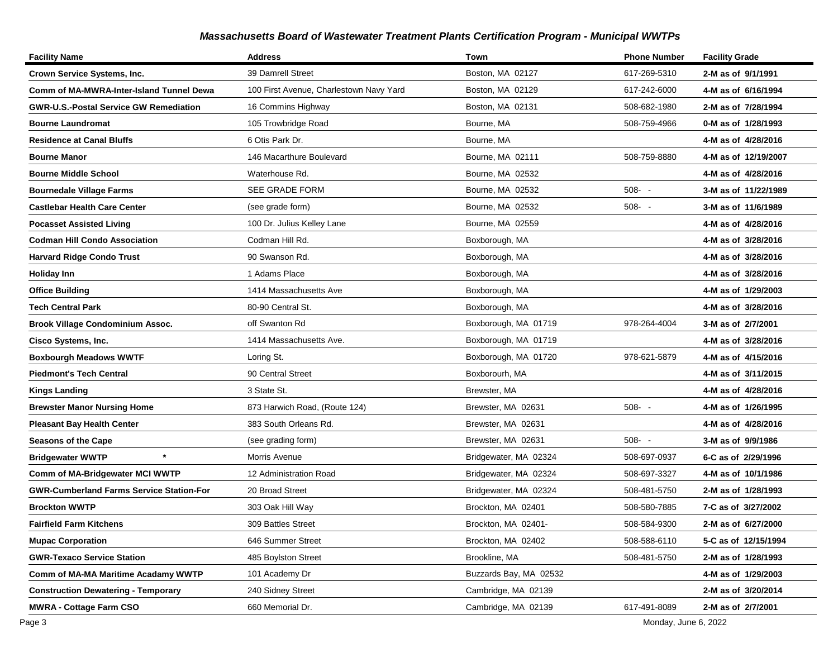| <b>Facility Name</b>                            | <b>Address</b>                          | Town                   | <b>Phone Number</b> | <b>Facility Grade</b> |
|-------------------------------------------------|-----------------------------------------|------------------------|---------------------|-----------------------|
| Crown Service Systems, Inc.                     | 39 Damrell Street                       | Boston, MA 02127       | 617-269-5310        | 2-M as of 9/1/1991    |
| Comm of MA-MWRA-Inter-Island Tunnel Dewa        | 100 First Avenue, Charlestown Navy Yard | Boston, MA 02129       | 617-242-6000        | 4-M as of 6/16/1994   |
| <b>GWR-U.S.-Postal Service GW Remediation</b>   | 16 Commins Highway                      | Boston, MA 02131       | 508-682-1980        | 2-M as of 7/28/1994   |
| <b>Bourne Laundromat</b>                        | 105 Trowbridge Road                     | Bourne, MA             | 508-759-4966        | 0-M as of 1/28/1993   |
| <b>Residence at Canal Bluffs</b>                | 6 Otis Park Dr.                         | Bourne, MA             |                     | 4-M as of 4/28/2016   |
| <b>Bourne Manor</b>                             | 146 Macarthure Boulevard                | Bourne, MA 02111       | 508-759-8880        | 4-M as of 12/19/2007  |
| <b>Bourne Middle School</b>                     | Waterhouse Rd.                          | Bourne, MA 02532       |                     | 4-M as of 4/28/2016   |
| <b>Bournedale Village Farms</b>                 | SEE GRADE FORM                          | Bourne, MA 02532       | $508 - -$           | 3-M as of 11/22/1989  |
| <b>Castlebar Health Care Center</b>             | (see grade form)                        | Bourne, MA 02532       | $508 - -$           | 3-M as of 11/6/1989   |
| <b>Pocasset Assisted Living</b>                 | 100 Dr. Julius Kelley Lane              | Bourne, MA 02559       |                     | 4-M as of 4/28/2016   |
| <b>Codman Hill Condo Association</b>            | Codman Hill Rd.                         | Boxborough, MA         |                     | 4-M as of 3/28/2016   |
| <b>Harvard Ridge Condo Trust</b>                | 90 Swanson Rd.                          | Boxborough, MA         |                     | 4-M as of 3/28/2016   |
| <b>Holiday Inn</b>                              | 1 Adams Place                           | Boxborough, MA         |                     | 4-M as of 3/28/2016   |
| <b>Office Building</b>                          | 1414 Massachusetts Ave                  | Boxborough, MA         |                     | 4-M as of 1/29/2003   |
| <b>Tech Central Park</b>                        | 80-90 Central St.                       | Boxborough, MA         |                     | 4-M as of 3/28/2016   |
| Brook Village Condominium Assoc.                | off Swanton Rd                          | Boxborough, MA 01719   | 978-264-4004        | 3-M as of 2/7/2001    |
| Cisco Systems, Inc.                             | 1414 Massachusetts Ave.                 | Boxborough, MA 01719   |                     | 4-M as of 3/28/2016   |
| <b>Boxbourgh Meadows WWTF</b>                   | Loring St.                              | Boxborough, MA 01720   | 978-621-5879        | 4-M as of 4/15/2016   |
| <b>Piedmont's Tech Central</b>                  | 90 Central Street                       | Boxborourh, MA         |                     | 4-M as of 3/11/2015   |
| <b>Kings Landing</b>                            | 3 State St.                             | Brewster, MA           |                     | 4-M as of 4/28/2016   |
| <b>Brewster Manor Nursing Home</b>              | 873 Harwich Road, (Route 124)           | Brewster, MA 02631     | $508 - -$           | 4-M as of 1/26/1995   |
| <b>Pleasant Bay Health Center</b>               | 383 South Orleans Rd.                   | Brewster, MA 02631     |                     | 4-M as of 4/28/2016   |
| <b>Seasons of the Cape</b>                      | (see grading form)                      | Brewster, MA 02631     | $508 - -$           | 3-M as of 9/9/1986    |
| $\pmb{\ast}$<br><b>Bridgewater WWTP</b>         | Morris Avenue                           | Bridgewater, MA 02324  | 508-697-0937        | 6-C as of 2/29/1996   |
| Comm of MA-Bridgewater MCI WWTP                 | 12 Administration Road                  | Bridgewater, MA 02324  | 508-697-3327        | 4-M as of 10/1/1986   |
| <b>GWR-Cumberland Farms Service Station-For</b> | 20 Broad Street                         | Bridgewater, MA 02324  | 508-481-5750        | 2-M as of 1/28/1993   |
| <b>Brockton WWTP</b>                            | 303 Oak Hill Way                        | Brockton, MA 02401     | 508-580-7885        | 7-C as of 3/27/2002   |
| <b>Fairfield Farm Kitchens</b>                  | 309 Battles Street                      | Brockton, MA 02401-    | 508-584-9300        | 2-M as of 6/27/2000   |
| <b>Mupac Corporation</b>                        | 646 Summer Street                       | Brockton, MA 02402     | 508-588-6110        | 5-C as of 12/15/1994  |
| <b>GWR-Texaco Service Station</b>               | 485 Boylston Street                     | Brookline, MA          | 508-481-5750        | 2-M as of 1/28/1993   |
| Comm of MA-MA Maritime Acadamy WWTP             | 101 Academy Dr                          | Buzzards Bay, MA 02532 |                     | 4-M as of 1/29/2003   |
| <b>Construction Dewatering - Temporary</b>      | 240 Sidney Street                       | Cambridge, MA 02139    |                     | 2-M as of 3/20/2014   |
| <b>MWRA - Cottage Farm CSO</b>                  | 660 Memorial Dr.                        | Cambridge, MA 02139    | 617-491-8089        | 2-M as of 2/7/2001    |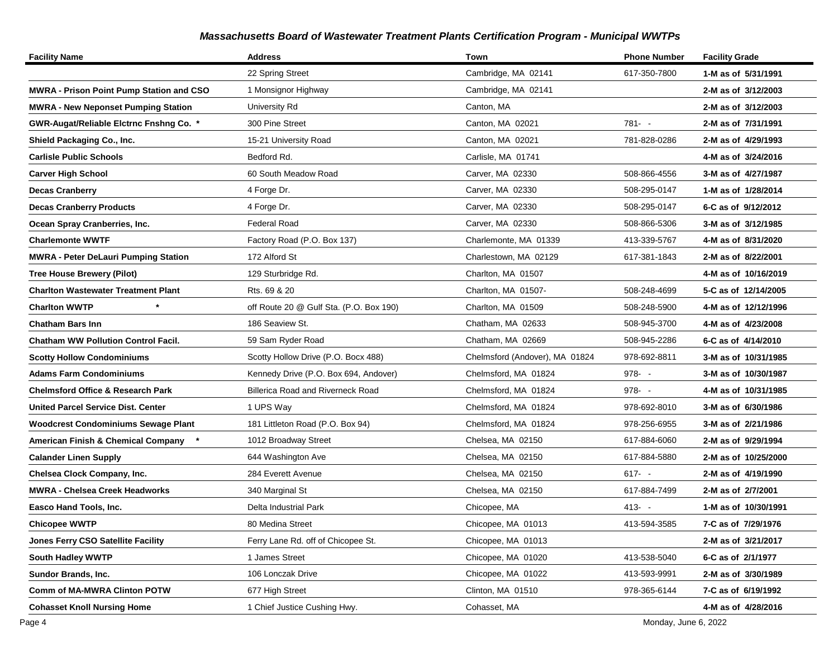| <b>Facility Name</b>                            | <b>Address</b>                           | Town                           | <b>Phone Number</b> | <b>Facility Grade</b> |
|-------------------------------------------------|------------------------------------------|--------------------------------|---------------------|-----------------------|
|                                                 | 22 Spring Street                         | Cambridge, MA 02141            | 617-350-7800        | 1-M as of 5/31/1991   |
| <b>MWRA - Prison Point Pump Station and CSO</b> | 1 Monsignor Highway                      | Cambridge, MA 02141            |                     | 2-M as of 3/12/2003   |
| <b>MWRA - New Neponset Pumping Station</b>      | University Rd                            | Canton, MA                     |                     | 2-M as of 3/12/2003   |
| GWR-Augat/Reliable Elctrnc Fnshng Co. *         | 300 Pine Street                          | Canton, MA 02021               | $781 - -$           | 2-M as of 7/31/1991   |
| Shield Packaging Co., Inc.                      | 15-21 University Road                    | Canton, MA 02021               | 781-828-0286        | 2-M as of 4/29/1993   |
| <b>Carlisle Public Schools</b>                  | Bedford Rd.                              | Carlisle, MA 01741             |                     | 4-M as of 3/24/2016   |
| <b>Carver High School</b>                       | 60 South Meadow Road                     | Carver, MA 02330               | 508-866-4556        | 3-M as of 4/27/1987   |
| <b>Decas Cranberry</b>                          | 4 Forge Dr.                              | Carver, MA 02330               | 508-295-0147        | 1-M as of 1/28/2014   |
| <b>Decas Cranberry Products</b>                 | 4 Forge Dr.                              | Carver, MA 02330               | 508-295-0147        | 6-C as of 9/12/2012   |
| Ocean Spray Cranberries, Inc.                   | <b>Federal Road</b>                      | Carver, MA 02330               | 508-866-5306        | 3-M as of 3/12/1985   |
| <b>Charlemonte WWTF</b>                         | Factory Road (P.O. Box 137)              | Charlemonte, MA 01339          | 413-339-5767        | 4-M as of 8/31/2020   |
| <b>MWRA - Peter DeLauri Pumping Station</b>     | 172 Alford St                            | Charlestown, MA 02129          | 617-381-1843        | 2-M as of 8/22/2001   |
| <b>Tree House Brewery (Pilot)</b>               | 129 Sturbridge Rd.                       | Charlton, MA 01507             |                     | 4-M as of 10/16/2019  |
| <b>Charlton Wastewater Treatment Plant</b>      | Rts. 69 & 20                             | Charlton, MA 01507-            | 508-248-4699        | 5-C as of 12/14/2005  |
| $^\star$<br><b>Charlton WWTP</b>                | off Route 20 @ Gulf Sta. (P.O. Box 190)  | Charlton, MA 01509             | 508-248-5900        | 4-M as of 12/12/1996  |
| <b>Chatham Bars Inn</b>                         | 186 Seaview St.                          | Chatham, MA 02633              | 508-945-3700        | 4-M as of 4/23/2008   |
| <b>Chatham WW Pollution Control Facil.</b>      | 59 Sam Ryder Road                        | Chatham, MA 02669              | 508-945-2286        | 6-C as of 4/14/2010   |
| <b>Scotty Hollow Condominiums</b>               | Scotty Hollow Drive (P.O. Bocx 488)      | Chelmsford (Andover), MA 01824 | 978-692-8811        | 3-M as of 10/31/1985  |
| <b>Adams Farm Condominiums</b>                  | Kennedy Drive (P.O. Box 694, Andover)    | Chelmsford, MA 01824           | $978 - -$           | 3-M as of 10/30/1987  |
| <b>Chelmsford Office &amp; Research Park</b>    | <b>Billerica Road and Riverneck Road</b> | Chelmsford, MA 01824           | 978- -              | 4-M as of 10/31/1985  |
| <b>United Parcel Service Dist. Center</b>       | 1 UPS Way                                | Chelmsford, MA 01824           | 978-692-8010        | 3-M as of 6/30/1986   |
| <b>Woodcrest Condominiums Sewage Plant</b>      | 181 Littleton Road (P.O. Box 94)         | Chelmsford, MA 01824           | 978-256-6955        | 3-M as of 2/21/1986   |
| American Finish & Chemical Company *            | 1012 Broadway Street                     | Chelsea, MA 02150              | 617-884-6060        | 2-M as of 9/29/1994   |
| <b>Calander Linen Supply</b>                    | 644 Washington Ave                       | Chelsea, MA 02150              | 617-884-5880        | 2-M as of 10/25/2000  |
| Chelsea Clock Company, Inc.                     | 284 Everett Avenue                       | Chelsea, MA 02150              | $617 - -$           | 2-M as of 4/19/1990   |
| <b>MWRA - Chelsea Creek Headworks</b>           | 340 Marginal St                          | Chelsea, MA 02150              | 617-884-7499        | 2-M as of 2/7/2001    |
| Easco Hand Tools, Inc.                          | Delta Industrial Park                    | Chicopee, MA                   | $413 - -$           | 1-M as of 10/30/1991  |
| <b>Chicopee WWTP</b>                            | 80 Medina Street                         | Chicopee, MA 01013             | 413-594-3585        | 7-C as of 7/29/1976   |
| <b>Jones Ferry CSO Satellite Facility</b>       | Ferry Lane Rd. off of Chicopee St.       | Chicopee, MA 01013             |                     | 2-M as of 3/21/2017   |
| <b>South Hadley WWTP</b>                        | 1 James Street                           | Chicopee, MA 01020             | 413-538-5040        | 6-C as of 2/1/1977    |
| Sundor Brands, Inc.                             | 106 Lonczak Drive                        | Chicopee, MA 01022             | 413-593-9991        | 2-M as of 3/30/1989   |
| <b>Comm of MA-MWRA Clinton POTW</b>             | 677 High Street                          | Clinton, MA 01510              | 978-365-6144        | 7-C as of 6/19/1992   |
| <b>Cohasset Knoll Nursing Home</b>              | 1 Chief Justice Cushing Hwy.             | Cohasset, MA                   |                     | 4-M as of 4/28/2016   |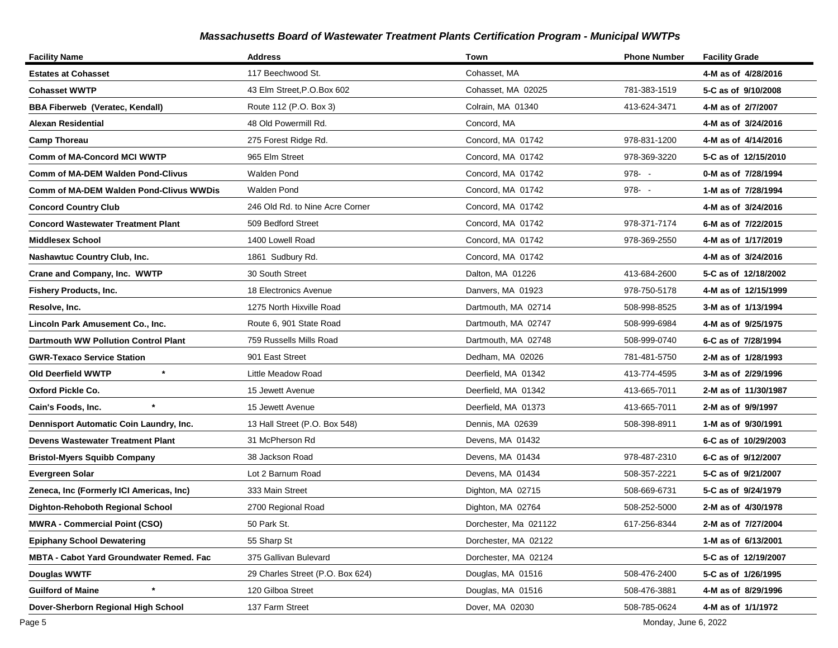| <b>Facility Name</b>                        | <b>Address</b>                   | Town                  | <b>Phone Number</b> | <b>Facility Grade</b> |
|---------------------------------------------|----------------------------------|-----------------------|---------------------|-----------------------|
| <b>Estates at Cohasset</b>                  | 117 Beechwood St.                | Cohasset, MA          |                     | 4-M as of 4/28/2016   |
| <b>Cohasset WWTP</b>                        | 43 Elm Street, P.O.Box 602       | Cohasset, MA 02025    | 781-383-1519        | 5-C as of 9/10/2008   |
| <b>BBA Fiberweb (Veratec, Kendall)</b>      | Route 112 (P.O. Box 3)           | Colrain, MA 01340     | 413-624-3471        | 4-M as of 2/7/2007    |
| Alexan Residential                          | 48 Old Powermill Rd.             | Concord, MA           |                     | 4-M as of 3/24/2016   |
| <b>Camp Thoreau</b>                         | 275 Forest Ridge Rd.             | Concord, MA 01742     | 978-831-1200        | 4-M as of 4/14/2016   |
| <b>Comm of MA-Concord MCI WWTP</b>          | 965 Elm Street                   | Concord, MA 01742     | 978-369-3220        | 5-C as of 12/15/2010  |
| <b>Comm of MA-DEM Walden Pond-Clivus</b>    | Walden Pond                      | Concord, MA 01742     | $978 - -$           | 0-M as of 7/28/1994   |
| Comm of MA-DEM Walden Pond-Clivus WWDis     | <b>Walden Pond</b>               | Concord, MA 01742     | $978 - -$           | 1-M as of 7/28/1994   |
| <b>Concord Country Club</b>                 | 246 Old Rd. to Nine Acre Corner  | Concord, MA 01742     |                     | 4-M as of 3/24/2016   |
| <b>Concord Wastewater Treatment Plant</b>   | 509 Bedford Street               | Concord, MA 01742     | 978-371-7174        | 6-M as of 7/22/2015   |
| Middlesex School                            | 1400 Lowell Road                 | Concord, MA 01742     | 978-369-2550        | 4-M as of 1/17/2019   |
| Nashawtuc Country Club, Inc.                | 1861 Sudbury Rd.                 | Concord, MA 01742     |                     | 4-M as of 3/24/2016   |
| Crane and Company, Inc. WWTP                | 30 South Street                  | Dalton, MA 01226      | 413-684-2600        | 5-C as of 12/18/2002  |
| Fishery Products, Inc.                      | 18 Electronics Avenue            | Danvers, MA 01923     | 978-750-5178        | 4-M as of 12/15/1999  |
| Resolve, Inc.                               | 1275 North Hixville Road         | Dartmouth, MA 02714   | 508-998-8525        | 3-M as of 1/13/1994   |
| Lincoln Park Amusement Co., Inc.            | Route 6, 901 State Road          | Dartmouth, MA 02747   | 508-999-6984        | 4-M as of 9/25/1975   |
| <b>Dartmouth WW Pollution Control Plant</b> | 759 Russells Mills Road          | Dartmouth, MA 02748   | 508-999-0740        | 6-C as of 7/28/1994   |
| <b>GWR-Texaco Service Station</b>           | 901 East Street                  | Dedham, MA 02026      | 781-481-5750        | 2-M as of 1/28/1993   |
| $\star$<br>Old Deerfield WWTP               | Little Meadow Road               | Deerfield, MA 01342   | 413-774-4595        | 3-M as of 2/29/1996   |
| Oxford Pickle Co.                           | 15 Jewett Avenue                 | Deerfield, MA 01342   | 413-665-7011        | 2-M as of 11/30/1987  |
| Cain's Foods, Inc.                          | 15 Jewett Avenue                 | Deerfield, MA 01373   | 413-665-7011        | 2-M as of 9/9/1997    |
| Dennisport Automatic Coin Laundry, Inc.     | 13 Hall Street (P.O. Box 548)    | Dennis, MA 02639      | 508-398-8911        | 1-M as of 9/30/1991   |
| <b>Devens Wastewater Treatment Plant</b>    | 31 McPherson Rd                  | Devens, MA 01432      |                     | 6-C as of 10/29/2003  |
| <b>Bristol-Myers Squibb Company</b>         | 38 Jackson Road                  | Devens, MA 01434      | 978-487-2310        | 6-C as of 9/12/2007   |
| Evergreen Solar                             | Lot 2 Barnum Road                | Devens, MA 01434      | 508-357-2221        | 5-C as of 9/21/2007   |
| Zeneca, Inc (Formerly ICI Americas, Inc)    | 333 Main Street                  | Dighton, MA 02715     | 508-669-6731        | 5-C as of 9/24/1979   |
| Dighton-Rehoboth Regional School            | 2700 Regional Road               | Dighton, MA 02764     | 508-252-5000        | 2-M as of 4/30/1978   |
| <b>MWRA - Commercial Point (CSO)</b>        | 50 Park St.                      | Dorchester, Ma 021122 | 617-256-8344        | 2-M as of 7/27/2004   |
| <b>Epiphany School Dewatering</b>           | 55 Sharp St                      | Dorchester, MA 02122  |                     | 1-M as of 6/13/2001   |
| MBTA - Cabot Yard Groundwater Remed. Fac    | 375 Gallivan Bulevard            | Dorchester, MA 02124  |                     | 5-C as of 12/19/2007  |
| Douglas WWTF                                | 29 Charles Street (P.O. Box 624) | Douglas, MA 01516     | 508-476-2400        | 5-C as of 1/26/1995   |
| <b>Guilford of Maine</b>                    | 120 Gilboa Street                | Douglas, MA 01516     | 508-476-3881        | 4-M as of 8/29/1996   |
| Dover-Sherborn Regional High School         | 137 Farm Street                  | Dover, MA 02030       | 508-785-0624        | 4-M as of 1/1/1972    |

Page 5 Monday, June 6, 2022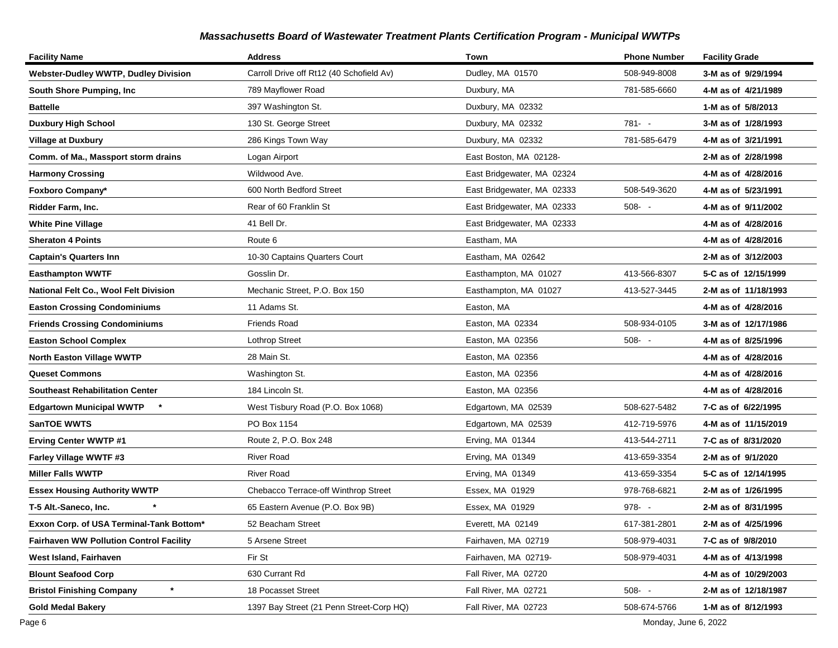| <b>Facility Name</b>                           | <b>Address</b>                           | Town                       | <b>Phone Number</b> | <b>Facility Grade</b> |
|------------------------------------------------|------------------------------------------|----------------------------|---------------------|-----------------------|
| <b>Webster-Dudley WWTP, Dudley Division</b>    | Carroll Drive off Rt12 (40 Schofield Av) | Dudley, MA 01570           | 508-949-8008        | 3-M as of 9/29/1994   |
| South Shore Pumping, Inc                       | 789 Mayflower Road                       | Duxbury, MA                | 781-585-6660        | 4-M as of 4/21/1989   |
| <b>Battelle</b>                                | 397 Washington St.                       | Duxbury, MA 02332          |                     | 1-M as of 5/8/2013    |
| <b>Duxbury High School</b>                     | 130 St. George Street                    | Duxbury, MA 02332          | $781 - -$           | 3-M as of 1/28/1993   |
| Village at Duxbury                             | 286 Kings Town Way                       | Duxbury, MA 02332          | 781-585-6479        | 4-M as of 3/21/1991   |
| Comm. of Ma., Massport storm drains            | Logan Airport                            | East Boston, MA 02128-     |                     | 2-M as of 2/28/1998   |
| <b>Harmony Crossing</b>                        | Wildwood Ave.                            | East Bridgewater, MA 02324 |                     | 4-M as of 4/28/2016   |
| Foxboro Company*                               | 600 North Bedford Street                 | East Bridgewater, MA 02333 | 508-549-3620        | 4-M as of 5/23/1991   |
| Ridder Farm, Inc.                              | Rear of 60 Franklin St                   | East Bridgewater, MA 02333 | $508 - -$           | 4-M as of 9/11/2002   |
| <b>White Pine Village</b>                      | 41 Bell Dr.                              | East Bridgewater, MA 02333 |                     | 4-M as of 4/28/2016   |
| <b>Sheraton 4 Points</b>                       | Route 6                                  | Eastham, MA                |                     | 4-M as of 4/28/2016   |
| <b>Captain's Quarters Inn</b>                  | 10-30 Captains Quarters Court            | Eastham, MA 02642          |                     | 2-M as of 3/12/2003   |
| Easthampton WWTF                               | Gosslin Dr.                              | Easthampton, MA 01027      | 413-566-8307        | 5-C as of 12/15/1999  |
| National Felt Co., Wool Felt Division          | Mechanic Street, P.O. Box 150            | Easthampton, MA 01027      | 413-527-3445        | 2-M as of 11/18/1993  |
| <b>Easton Crossing Condominiums</b>            | 11 Adams St.                             | Easton, MA                 |                     | 4-M as of 4/28/2016   |
| <b>Friends Crossing Condominiums</b>           | <b>Friends Road</b>                      | Easton, MA 02334           | 508-934-0105        | 3-M as of 12/17/1986  |
| <b>Easton School Complex</b>                   | <b>Lothrop Street</b>                    | Easton, MA 02356           | $508 - -$           | 4-M as of 8/25/1996   |
| North Easton Village WWTP                      | 28 Main St.                              | Easton, MA 02356           |                     | 4-M as of 4/28/2016   |
| <b>Queset Commons</b>                          | Washington St.                           | Easton, MA 02356           |                     | 4-M as of 4/28/2016   |
| Southeast Rehabilitation Center                | 184 Lincoln St.                          | Easton, MA 02356           |                     | 4-M as of 4/28/2016   |
| <b>Edgartown Municipal WWTP</b>                | West Tisbury Road (P.O. Box 1068)        | Edgartown, MA 02539        | 508-627-5482        | 7-C as of 6/22/1995   |
| <b>SanTOE WWTS</b>                             | PO Box 1154                              | Edgartown, MA 02539        | 412-719-5976        | 4-M as of 11/15/2019  |
| <b>Erving Center WWTP #1</b>                   | Route 2, P.O. Box 248                    | Erving, MA 01344           | 413-544-2711        | 7-C as of 8/31/2020   |
| Farley Village WWTF #3                         | <b>River Road</b>                        | Erving, MA 01349           | 413-659-3354        | 2-M as of 9/1/2020    |
| <b>Miller Falls WWTP</b>                       | <b>River Road</b>                        | Erving, MA 01349           | 413-659-3354        | 5-C as of 12/14/1995  |
| <b>Essex Housing Authority WWTP</b>            | Chebacco Terrace-off Winthrop Street     | Essex, MA 01929            | 978-768-6821        | 2-M as of 1/26/1995   |
| T-5 Alt.-Saneco, Inc.                          | 65 Eastern Avenue (P.O. Box 9B)          | Essex, MA 01929            | $978 - -$           | 2-M as of 8/31/1995   |
| Exxon Corp. of USA Terminal-Tank Bottom*       | 52 Beacham Street                        | Everett, MA 02149          | 617-381-2801        | 2-M as of 4/25/1996   |
| <b>Fairhaven WW Pollution Control Facility</b> | 5 Arsene Street                          | Fairhaven, MA 02719        | 508-979-4031        | 7-C as of 9/8/2010    |
| West Island, Fairhaven                         | Fir St                                   | Fairhaven, MA 02719-       | 508-979-4031        | 4-M as of 4/13/1998   |
| <b>Blount Seafood Corp</b>                     | 630 Currant Rd                           | Fall River, MA 02720       |                     | 4-M as of 10/29/2003  |
| $^\star$<br><b>Bristol Finishing Company</b>   | 18 Pocasset Street                       | Fall River, MA 02721       | $508 - -$           | 2-M as of 12/18/1987  |
| Gold Medal Bakery                              | 1397 Bay Street (21 Penn Street-Corp HQ) | Fall River, MA 02723       | 508-674-5766        | 1-M as of 8/12/1993   |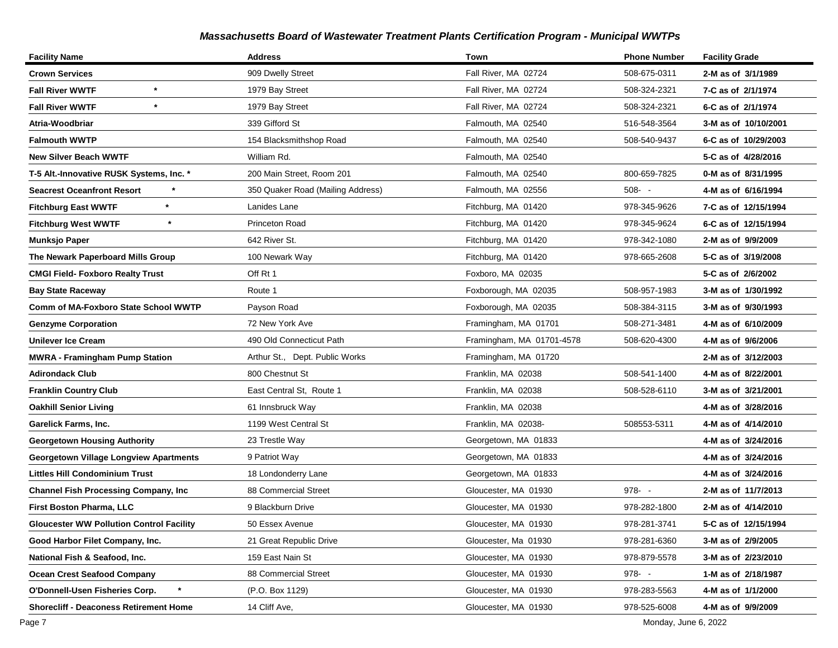| <b>Facility Name</b>                            | <b>Address</b>                    | Town                      | <b>Phone Number</b> | <b>Facility Grade</b> |
|-------------------------------------------------|-----------------------------------|---------------------------|---------------------|-----------------------|
| <b>Crown Services</b>                           | 909 Dwelly Street                 | Fall River, MA 02724      | 508-675-0311        | 2-M as of 3/1/1989    |
| $\star$<br><b>Fall River WWTF</b>               | 1979 Bay Street                   | Fall River, MA 02724      | 508-324-2321        | 7-C as of 2/1/1974    |
| $\star$<br><b>Fall River WWTF</b>               | 1979 Bay Street                   | Fall River, MA 02724      | 508-324-2321        | 6-C as of 2/1/1974    |
| Atria-Woodbriar                                 | 339 Gifford St                    | Falmouth, MA 02540        | 516-548-3564        | 3-M as of 10/10/2001  |
| <b>Falmouth WWTP</b>                            | 154 Blacksmithshop Road           | Falmouth, MA 02540        | 508-540-9437        | 6-C as of 10/29/2003  |
| New Silver Beach WWTF                           | William Rd.                       | Falmouth, MA 02540        |                     | 5-C as of 4/28/2016   |
| T-5 Alt.-Innovative RUSK Systems, Inc. *        | 200 Main Street, Room 201         | Falmouth, MA 02540        | 800-659-7825        | 0-M as of 8/31/1995   |
| <b>Seacrest Oceanfront Resort</b>               | 350 Quaker Road (Mailing Address) | Falmouth, MA 02556        | $508 - -$           | 4-M as of 6/16/1994   |
| $\star$<br><b>Fitchburg East WWTF</b>           | Lanides Lane                      | Fitchburg, MA 01420       | 978-345-9626        | 7-C as of 12/15/1994  |
| $\star$<br><b>Fitchburg West WWTF</b>           | Princeton Road                    | Fitchburg, MA 01420       | 978-345-9624        | 6-C as of 12/15/1994  |
| Munksjo Paper                                   | 642 River St.                     | Fitchburg, MA 01420       | 978-342-1080        | 2-M as of 9/9/2009    |
| The Newark Paperboard Mills Group               | 100 Newark Way                    | Fitchburg, MA 01420       | 978-665-2608        | 5-C as of 3/19/2008   |
| <b>CMGI Field- Foxboro Realty Trust</b>         | Off Rt 1                          | Foxboro, MA 02035         |                     | 5-C as of 2/6/2002    |
| <b>Bay State Raceway</b>                        | Route 1                           | Foxborough, MA 02035      | 508-957-1983        | 3-M as of 1/30/1992   |
| Comm of MA-Foxboro State School WWTP            | Payson Road                       | Foxborough, MA 02035      | 508-384-3115        | 3-M as of 9/30/1993   |
| <b>Genzyme Corporation</b>                      | 72 New York Ave                   | Framingham, MA 01701      | 508-271-3481        | 4-M as of 6/10/2009   |
| <b>Unilever Ice Cream</b>                       | 490 Old Connecticut Path          | Framingham, MA 01701-4578 | 508-620-4300        | 4-M as of 9/6/2006    |
| <b>MWRA - Framingham Pump Station</b>           | Arthur St., Dept. Public Works    | Framingham, MA 01720      |                     | 2-M as of 3/12/2003   |
| Adirondack Club                                 | 800 Chestnut St                   | Franklin, MA 02038        | 508-541-1400        | 4-M as of 8/22/2001   |
| <b>Franklin Country Club</b>                    | East Central St, Route 1          | Franklin, MA 02038        | 508-528-6110        | 3-M as of 3/21/2001   |
| <b>Oakhill Senior Living</b>                    | 61 Innsbruck Way                  | Franklin, MA 02038        |                     | 4-M as of 3/28/2016   |
| Garelick Farms, Inc.                            | 1199 West Central St              | Franklin, MA 02038-       | 508553-5311         | 4-M as of 4/14/2010   |
| <b>Georgetown Housing Authority</b>             | 23 Trestle Way                    | Georgetown, MA 01833      |                     | 4-M as of 3/24/2016   |
| Georgetown Village Longview Apartments          | 9 Patriot Way                     | Georgetown, MA 01833      |                     | 4-M as of 3/24/2016   |
| Littles Hill Condominium Trust                  | 18 Londonderry Lane               | Georgetown, MA 01833      |                     | 4-M as of 3/24/2016   |
| <b>Channel Fish Processing Company, Inc</b>     | 88 Commercial Street              | Gloucester, MA 01930      | $978 - -$           | 2-M as of 11/7/2013   |
| First Boston Pharma, LLC                        | 9 Blackburn Drive                 | Gloucester, MA 01930      | 978-282-1800        | 2-M as of 4/14/2010   |
| <b>Gloucester WW Pollution Control Facility</b> | 50 Essex Avenue                   | Gloucester, MA 01930      | 978-281-3741        | 5-C as of 12/15/1994  |
| Good Harbor Filet Company, Inc.                 | 21 Great Republic Drive           | Gloucester, Ma 01930      | 978-281-6360        | 3-M as of 2/9/2005    |
| National Fish & Seafood, Inc.                   | 159 East Nain St                  | Gloucester, MA 01930      | 978-879-5578        | 3-M as of 2/23/2010   |
| <b>Ocean Crest Seafood Company</b>              | 88 Commercial Street              | Gloucester, MA 01930      | 978--               | 1-M as of 2/18/1987   |
| O'Donnell-Usen Fisheries Corp.                  | (P.O. Box 1129)                   | Gloucester, MA 01930      | 978-283-5563        | 4-M as of 1/1/2000    |
| <b>Shorecliff - Deaconess Retirement Home</b>   | 14 Cliff Ave,                     | Gloucester, MA 01930      | 978-525-6008        | 4-M as of 9/9/2009    |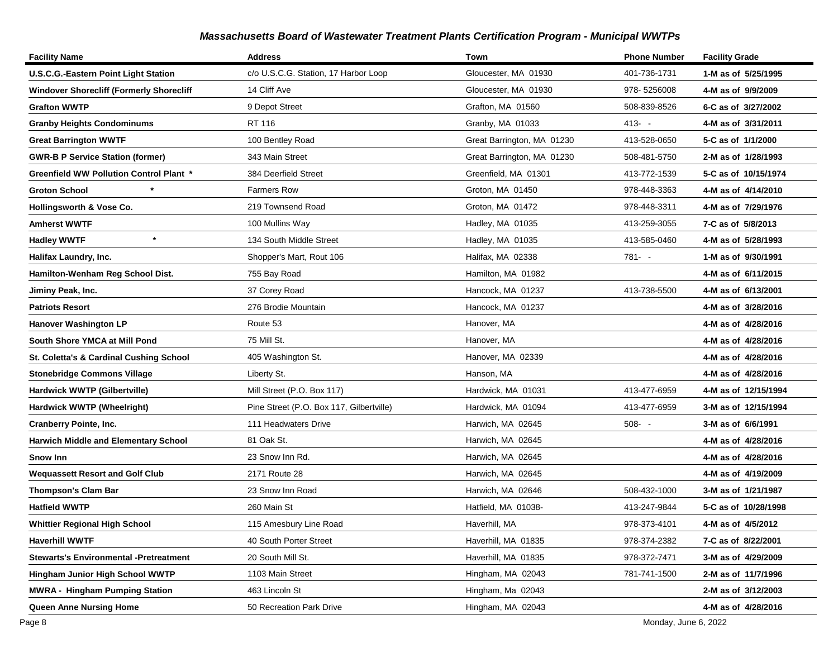| <b>Facility Name</b>                            | <b>Address</b>                           | Town                       | <b>Phone Number</b> | <b>Facility Grade</b> |
|-------------------------------------------------|------------------------------------------|----------------------------|---------------------|-----------------------|
| <b>U.S.C.G.-Eastern Point Light Station</b>     | c/o U.S.C.G. Station, 17 Harbor Loop     | Gloucester, MA 01930       | 401-736-1731        | 1-M as of 5/25/1995   |
| <b>Windover Shorecliff (Formerly Shorecliff</b> | 14 Cliff Ave                             | Gloucester, MA 01930       | 978-5256008         | 4-M as of 9/9/2009    |
| <b>Grafton WWTP</b>                             | 9 Depot Street                           | Grafton, MA 01560          | 508-839-8526        | 6-C as of 3/27/2002   |
| <b>Granby Heights Condominums</b>               | RT 116                                   | Granby, MA 01033           | $413 - -$           | 4-M as of 3/31/2011   |
| <b>Great Barrington WWTF</b>                    | 100 Bentley Road                         | Great Barrington, MA 01230 | 413-528-0650        | 5-C as of 1/1/2000    |
| <b>GWR-B P Service Station (former)</b>         | 343 Main Street                          | Great Barrington, MA 01230 | 508-481-5750        | 2-M as of 1/28/1993   |
| Greenfield WW Pollution Control Plant *         | 384 Deerfield Street                     | Greenfield, MA 01301       | 413-772-1539        | 5-C as of 10/15/1974  |
| <b>Groton School</b>                            | <b>Farmers Row</b>                       | Groton, MA 01450           | 978-448-3363        | 4-M as of 4/14/2010   |
| Hollingsworth & Vose Co.                        | 219 Townsend Road                        | Groton, MA 01472           | 978-448-3311        | 4-M as of 7/29/1976   |
| <b>Amherst WWTF</b>                             | 100 Mullins Way                          | Hadley, MA 01035           | 413-259-3055        | 7-C as of 5/8/2013    |
| $\star$<br><b>Hadley WWTF</b>                   | 134 South Middle Street                  | Hadley, MA 01035           | 413-585-0460        | 4-M as of 5/28/1993   |
| Halifax Laundry, Inc.                           | Shopper's Mart, Rout 106                 | Halifax, MA 02338          | 781- -              | 1-M as of 9/30/1991   |
| Hamilton-Wenham Reg School Dist.                | 755 Bay Road                             | Hamilton, MA 01982         |                     | 4-M as of 6/11/2015   |
| Jiminy Peak, Inc.                               | 37 Corey Road                            | Hancock, MA 01237          | 413-738-5500        | 4-M as of 6/13/2001   |
| <b>Patriots Resort</b>                          | 276 Brodie Mountain                      | Hancock, MA 01237          |                     | 4-M as of 3/28/2016   |
| Hanover Washington LP                           | Route 53                                 | Hanover, MA                |                     | 4-M as of 4/28/2016   |
| South Shore YMCA at Mill Pond                   | 75 Mill St.                              | Hanover, MA                |                     | 4-M as of 4/28/2016   |
| St. Coletta's & Cardinal Cushing School         | 405 Washington St.                       | Hanover, MA 02339          |                     | 4-M as of 4/28/2016   |
| <b>Stonebridge Commons Village</b>              | Liberty St.                              | Hanson, MA                 |                     | 4-M as of 4/28/2016   |
| Hardwick WWTP (Gilbertville)                    | Mill Street (P.O. Box 117)               | Hardwick, MA 01031         | 413-477-6959        | 4-M as of 12/15/1994  |
| Hardwick WWTP (Wheelright)                      | Pine Street (P.O. Box 117, Gilbertville) | Hardwick, MA 01094         | 413-477-6959        | 3-M as of 12/15/1994  |
| <b>Cranberry Pointe, Inc.</b>                   | 111 Headwaters Drive                     | Harwich, MA 02645          | $508 - -$           | 3-M as of 6/6/1991    |
| Harwich Middle and Elementary School            | 81 Oak St.                               | Harwich, MA 02645          |                     | 4-M as of 4/28/2016   |
| Snow Inn                                        | 23 Snow Inn Rd.                          | Harwich, MA 02645          |                     | 4-M as of 4/28/2016   |
| <b>Wequassett Resort and Golf Club</b>          | 2171 Route 28                            | Harwich, MA 02645          |                     | 4-M as of 4/19/2009   |
| <b>Thompson's Clam Bar</b>                      | 23 Snow Inn Road                         | Harwich, MA 02646          | 508-432-1000        | 3-M as of 1/21/1987   |
| <b>Hatfield WWTP</b>                            | 260 Main St                              | Hatfield, MA 01038-        | 413-247-9844        | 5-C as of 10/28/1998  |
| <b>Whittier Regional High School</b>            | 115 Amesbury Line Road                   | Haverhill, MA              | 978-373-4101        | 4-M as of 4/5/2012    |
| <b>Haverhill WWTF</b>                           | 40 South Porter Street                   | Haverhill, MA 01835        | 978-374-2382        | 7-C as of 8/22/2001   |
| <b>Stewarts's Environmental -Pretreatment</b>   | 20 South Mill St.                        | Haverhill, MA 01835        | 978-372-7471        | 3-M as of 4/29/2009   |
| Hingham Junior High School WWTP                 | 1103 Main Street                         | Hingham, MA 02043          | 781-741-1500        | 2-M as of 11/7/1996   |
| <b>MWRA - Hingham Pumping Station</b>           | 463 Lincoln St                           | Hingham, Ma 02043          |                     | 2-M as of 3/12/2003   |
| <b>Queen Anne Nursing Home</b>                  | 50 Recreation Park Drive                 | Hingham, MA 02043          |                     | 4-M as of 4/28/2016   |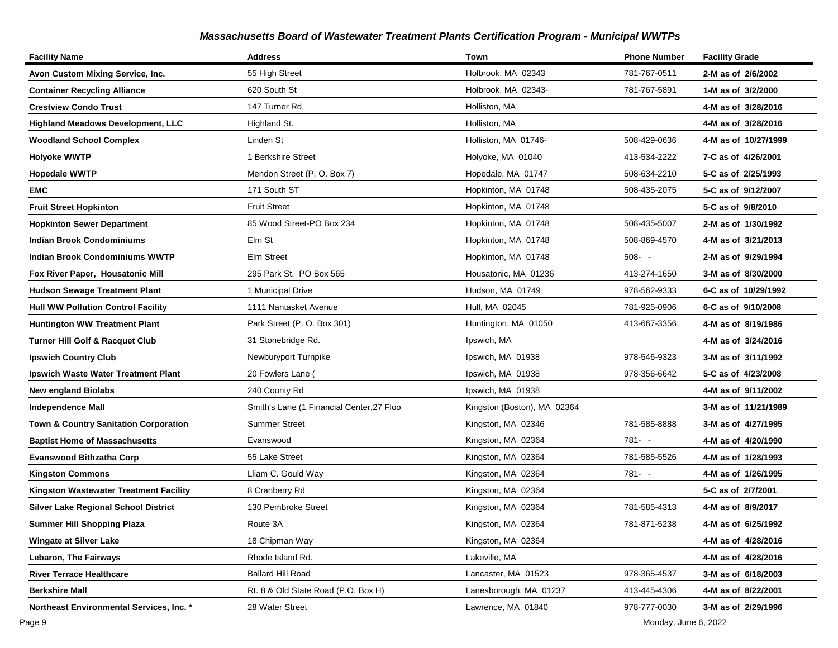| <b>Facility Name</b>                        | <b>Address</b>                            | Town                        | <b>Phone Number</b> | <b>Facility Grade</b> |
|---------------------------------------------|-------------------------------------------|-----------------------------|---------------------|-----------------------|
| Avon Custom Mixing Service, Inc.            | 55 High Street                            | Holbrook, MA 02343          | 781-767-0511        | 2-M as of 2/6/2002    |
| <b>Container Recycling Alliance</b>         | 620 South St                              | Holbrook, MA 02343-         | 781-767-5891        | 1-M as of 3/2/2000    |
| <b>Crestview Condo Trust</b>                | 147 Turner Rd.                            | Holliston, MA               |                     | 4-M as of 3/28/2016   |
| <b>Highland Meadows Development, LLC</b>    | Highland St.                              | Holliston, MA               |                     | 4-M as of 3/28/2016   |
| <b>Woodland School Complex</b>              | Linden St                                 | Holliston, MA 01746-        | 508-429-0636        | 4-M as of 10/27/1999  |
| <b>Holyoke WWTP</b>                         | 1 Berkshire Street                        | Holyoke, MA 01040           | 413-534-2222        | 7-C as of 4/26/2001   |
| <b>Hopedale WWTP</b>                        | Mendon Street (P. O. Box 7)               | Hopedale, MA 01747          | 508-634-2210        | 5-C as of 2/25/1993   |
| EMC                                         | 171 South ST                              | Hopkinton, MA 01748         | 508-435-2075        | 5-C as of 9/12/2007   |
| <b>Fruit Street Hopkinton</b>               | <b>Fruit Street</b>                       | Hopkinton, MA 01748         |                     | 5-C as of 9/8/2010    |
| <b>Hopkinton Sewer Department</b>           | 85 Wood Street-PO Box 234                 | Hopkinton, MA 01748         | 508-435-5007        | 2-M as of 1/30/1992   |
| <b>Indian Brook Condominiums</b>            | Elm St                                    | Hopkinton, MA 01748         | 508-869-4570        | 4-M as of 3/21/2013   |
| <b>Indian Brook Condominiums WWTP</b>       | <b>Elm Street</b>                         | Hopkinton, MA 01748         | $508 - -$           | 2-M as of 9/29/1994   |
| Fox River Paper, Housatonic Mill            | 295 Park St, PO Box 565                   | Housatonic, MA 01236        | 413-274-1650        | 3-M as of 8/30/2000   |
| <b>Hudson Sewage Treatment Plant</b>        | 1 Municipal Drive                         | Hudson, MA 01749            | 978-562-9333        | 6-C as of 10/29/1992  |
| <b>Hull WW Pollution Control Facility</b>   | 1111 Nantasket Avenue                     | Hull, MA 02045              | 781-925-0906        | 6-C as of 9/10/2008   |
| <b>Huntington WW Treatment Plant</b>        | Park Street (P. O. Box 301)               | Huntington, MA 01050        | 413-667-3356        | 4-M as of 8/19/1986   |
| <b>Turner Hill Golf &amp; Racquet Club</b>  | 31 Stonebridge Rd.                        | Ipswich, MA                 |                     | 4-M as of 3/24/2016   |
| <b>Ipswich Country Club</b>                 | Newburyport Turnpike                      | Ipswich, MA 01938           | 978-546-9323        | 3-M as of 3/11/1992   |
| Ipswich Waste Water Treatment Plant         | 20 Fowlers Lane (                         | Ipswich, MA 01938           | 978-356-6642        | 5-C as of 4/23/2008   |
| <b>New england Biolabs</b>                  | 240 County Rd                             | Ipswich, MA 01938           |                     | 4-M as of 9/11/2002   |
| <b>Independence Mall</b>                    | Smith's Lane (1 Financial Center, 27 Floo | Kingston (Boston), MA 02364 |                     | 3-M as of 11/21/1989  |
| Town & Country Sanitation Corporation       | <b>Summer Street</b>                      | Kingston, MA 02346          | 781-585-8888        | 3-M as of 4/27/1995   |
| <b>Baptist Home of Massachusetts</b>        | Evanswood                                 | Kingston, MA 02364          | 781- -              | 4-M as of 4/20/1990   |
| <b>Evanswood Bithzatha Corp</b>             | 55 Lake Street                            | Kingston, MA 02364          | 781-585-5526        | 4-M as of 1/28/1993   |
| <b>Kingston Commons</b>                     | Lliam C. Gould Way                        | Kingston, MA 02364          | 781- -              | 4-M as of 1/26/1995   |
| Kingston Wastewater Treatment Facility      | 8 Cranberry Rd                            | Kingston, MA 02364          |                     | 5-C as of 2/7/2001    |
| <b>Silver Lake Regional School District</b> | 130 Pembroke Street                       | Kingston, MA 02364          | 781-585-4313        | 4-M as of 8/9/2017    |
| <b>Summer Hill Shopping Plaza</b>           | Route 3A                                  | Kingston, MA 02364          | 781-871-5238        | 4-M as of 6/25/1992   |
| <b>Wingate at Silver Lake</b>               | 18 Chipman Way                            | Kingston, MA 02364          |                     | 4-M as of 4/28/2016   |
| Lebaron, The Fairways                       | Rhode Island Rd.                          | Lakeville, MA               |                     | 4-M as of 4/28/2016   |
| <b>River Terrace Healthcare</b>             | <b>Ballard Hill Road</b>                  | Lancaster, MA 01523         | 978-365-4537        | 3-M as of 6/18/2003   |
| <b>Berkshire Mall</b>                       | Rt. 8 & Old State Road (P.O. Box H)       | Lanesborough, MA 01237      | 413-445-4306        | 4-M as of 8/22/2001   |
| Northeast Environmental Services, Inc. *    | 28 Water Street                           | Lawrence, MA 01840          | 978-777-0030        | 3-M as of 2/29/1996   |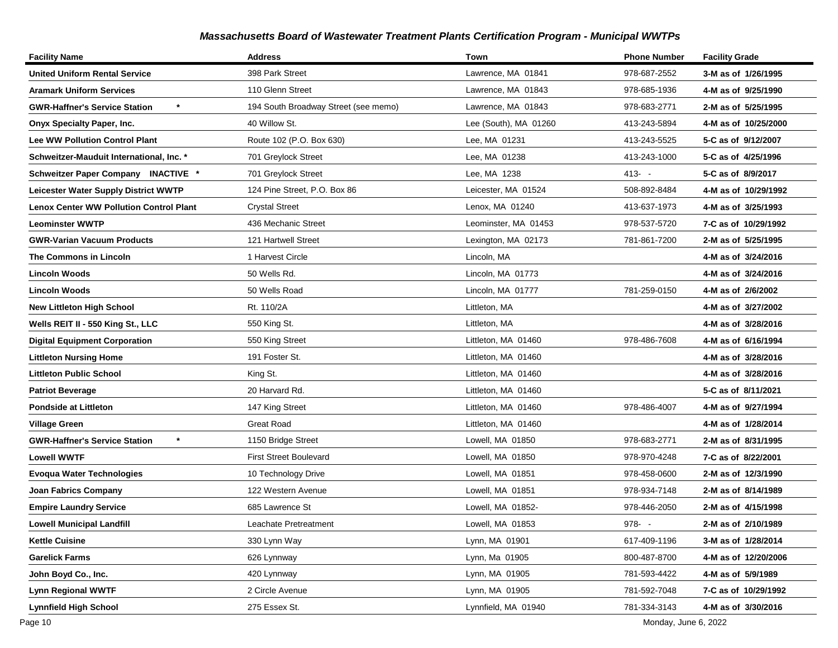| <b>Facility Name</b>                            | <b>Address</b>                       | Town                  | <b>Phone Number</b> | <b>Facility Grade</b> |
|-------------------------------------------------|--------------------------------------|-----------------------|---------------------|-----------------------|
| United Uniform Rental Service                   | 398 Park Street                      | Lawrence, MA 01841    | 978-687-2552        | 3-M as of 1/26/1995   |
| <b>Aramark Uniform Services</b>                 | 110 Glenn Street                     | Lawrence, MA 01843    | 978-685-1936        | 4-M as of 9/25/1990   |
| <b>GWR-Haffner's Service Station</b>            | 194 South Broadway Street (see memo) | Lawrence, MA 01843    | 978-683-2771        | 2-M as of 5/25/1995   |
| Onyx Specialty Paper, Inc.                      | 40 Willow St.                        | Lee (South), MA 01260 | 413-243-5894        | 4-M as of 10/25/2000  |
| <b>Lee WW Pollution Control Plant</b>           | Route 102 (P.O. Box 630)             | Lee, MA 01231         | 413-243-5525        | 5-C as of 9/12/2007   |
| Schweitzer-Mauduit International, Inc. *        | 701 Greylock Street                  | Lee, MA 01238         | 413-243-1000        | 5-C as of 4/25/1996   |
| Schweitzer Paper Company INACTIVE *             | 701 Greylock Street                  | Lee, MA 1238          | $413 - -$           | 5-C as of 8/9/2017    |
| Leicester Water Supply District WWTP            | 124 Pine Street, P.O. Box 86         | Leicester, MA 01524   | 508-892-8484        | 4-M as of 10/29/1992  |
| <b>Lenox Center WW Pollution Control Plant</b>  | <b>Crystal Street</b>                | Lenox, MA 01240       | 413-637-1973        | 4-M as of 3/25/1993   |
| <b>Leominster WWTP</b>                          | 436 Mechanic Street                  | Leominster, MA 01453  | 978-537-5720        | 7-C as of 10/29/1992  |
| <b>GWR-Varian Vacuum Products</b>               | 121 Hartwell Street                  | Lexington, MA 02173   | 781-861-7200        | 2-M as of 5/25/1995   |
| The Commons in Lincoln                          | 1 Harvest Circle                     | Lincoln, MA           |                     | 4-M as of 3/24/2016   |
| Lincoln Woods                                   | 50 Wells Rd.                         | Lincoln, MA 01773     |                     | 4-M as of 3/24/2016   |
| Lincoln Woods                                   | 50 Wells Road                        | Lincoln, MA 01777     | 781-259-0150        | 4-M as of 2/6/2002    |
| <b>New Littleton High School</b>                | Rt. 110/2A                           | Littleton, MA         |                     | 4-M as of 3/27/2002   |
| Wells REIT II - 550 King St., LLC               | 550 King St.                         | Littleton, MA         |                     | 4-M as of 3/28/2016   |
| <b>Digital Equipment Corporation</b>            | 550 King Street                      | Littleton, MA 01460   | 978-486-7608        | 4-M as of 6/16/1994   |
| <b>Littleton Nursing Home</b>                   | 191 Foster St.                       | Littleton, MA 01460   |                     | 4-M as of 3/28/2016   |
| <b>Littleton Public School</b>                  | King St.                             | Littleton, MA 01460   |                     | 4-M as of 3/28/2016   |
| <b>Patriot Beverage</b>                         | 20 Harvard Rd.                       | Littleton, MA 01460   |                     | 5-C as of 8/11/2021   |
| <b>Pondside at Littleton</b>                    | 147 King Street                      | Littleton, MA 01460   | 978-486-4007        | 4-M as of 9/27/1994   |
| <b>Village Green</b>                            | <b>Great Road</b>                    | Littleton, MA 01460   |                     | 4-M as of 1/28/2014   |
| $\star$<br><b>GWR-Haffner's Service Station</b> | 1150 Bridge Street                   | Lowell, MA 01850      | 978-683-2771        | 2-M as of 8/31/1995   |
| <b>Lowell WWTF</b>                              | <b>First Street Boulevard</b>        | Lowell, MA 01850      | 978-970-4248        | 7-C as of 8/22/2001   |
| <b>Evoqua Water Technologies</b>                | 10 Technology Drive                  | Lowell, MA 01851      | 978-458-0600        | 2-M as of 12/3/1990   |
| <b>Joan Fabrics Company</b>                     | 122 Western Avenue                   | Lowell, MA 01851      | 978-934-7148        | 2-M as of 8/14/1989   |
| <b>Empire Laundry Service</b>                   | 685 Lawrence St                      | Lowell, MA 01852-     | 978-446-2050        | 2-M as of 4/15/1998   |
| <b>Lowell Municipal Landfill</b>                | Leachate Pretreatment                | Lowell, MA 01853      | 978--               | 2-M as of 2/10/1989   |
| <b>Kettle Cuisine</b>                           | 330 Lynn Way                         | Lynn, MA 01901        | 617-409-1196        | 3-M as of 1/28/2014   |
| <b>Garelick Farms</b>                           | 626 Lynnway                          | Lynn, Ma 01905        | 800-487-8700        | 4-M as of 12/20/2006  |
| John Boyd Co., Inc.                             | 420 Lynnway                          | Lynn, MA 01905        | 781-593-4422        | 4-M as of 5/9/1989    |
| <b>Lynn Regional WWTF</b>                       | 2 Circle Avenue                      | Lynn, MA 01905        | 781-592-7048        | 7-C as of 10/29/1992  |
| <b>Lynnfield High School</b>                    | 275 Essex St.                        | Lynnfield, MA 01940   | 781-334-3143        | 4-M as of 3/30/2016   |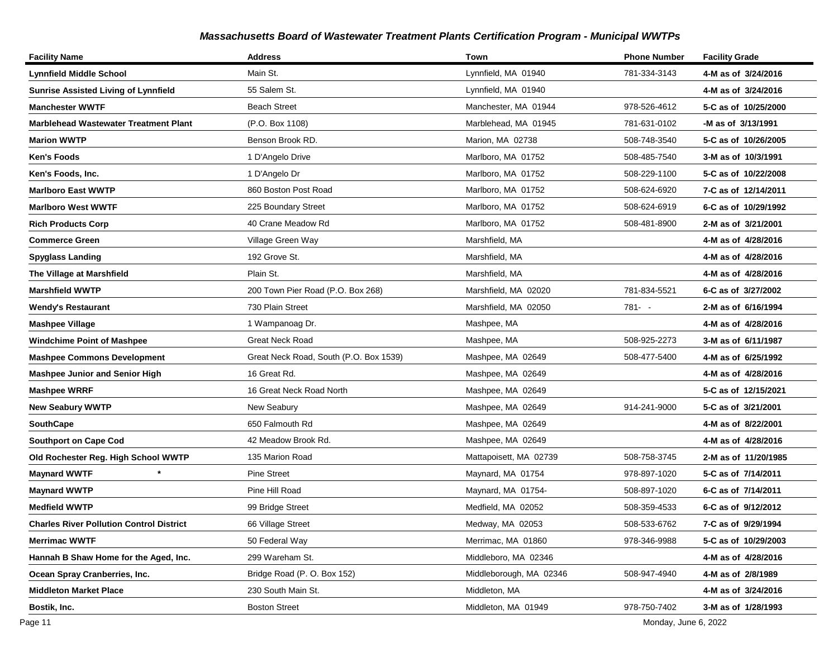| <b>Facility Name</b>                            | <b>Address</b>                         | Town                    | <b>Phone Number</b> | <b>Facility Grade</b> |
|-------------------------------------------------|----------------------------------------|-------------------------|---------------------|-----------------------|
| <b>Lynnfield Middle School</b>                  | Main St.                               | Lynnfield, MA 01940     | 781-334-3143        | 4-M as of 3/24/2016   |
| <b>Sunrise Assisted Living of Lynnfield</b>     | 55 Salem St.                           | Lynnfield, MA 01940     |                     | 4-M as of 3/24/2016   |
| <b>Manchester WWTF</b>                          | <b>Beach Street</b>                    | Manchester, MA 01944    | 978-526-4612        | 5-C as of 10/25/2000  |
| <b>Marblehead Wastewater Treatment Plant</b>    | (P.O. Box 1108)                        | Marblehead, MA 01945    | 781-631-0102        | -M as of 3/13/1991    |
| <b>Marion WWTP</b>                              | Benson Brook RD.                       | Marion, MA 02738        | 508-748-3540        | 5-C as of 10/26/2005  |
| <b>Ken's Foods</b>                              | 1 D'Angelo Drive                       | Marlboro, MA 01752      | 508-485-7540        | 3-M as of 10/3/1991   |
| Ken's Foods, Inc.                               | 1 D'Angelo Dr                          | Marlboro, MA 01752      | 508-229-1100        | 5-C as of 10/22/2008  |
| <b>Marlboro East WWTP</b>                       | 860 Boston Post Road                   | Marlboro, MA 01752      | 508-624-6920        | 7-C as of 12/14/2011  |
| <b>Marlboro West WWTF</b>                       | 225 Boundary Street                    | Marlboro, MA 01752      | 508-624-6919        | 6-C as of 10/29/1992  |
| <b>Rich Products Corp</b>                       | 40 Crane Meadow Rd                     | Marlboro, MA 01752      | 508-481-8900        | 2-M as of 3/21/2001   |
| <b>Commerce Green</b>                           | Village Green Way                      | Marshfield, MA          |                     | 4-M as of 4/28/2016   |
| <b>Spyglass Landing</b>                         | 192 Grove St.                          | Marshfield, MA          |                     | 4-M as of 4/28/2016   |
| The Village at Marshfield                       | Plain St.                              | Marshfield, MA          |                     | 4-M as of 4/28/2016   |
| <b>Marshfield WWTP</b>                          | 200 Town Pier Road (P.O. Box 268)      | Marshfield, MA 02020    | 781-834-5521        | 6-C as of 3/27/2002   |
| Wendy's Restaurant                              | 730 Plain Street                       | Marshfield, MA 02050    | $781 - -$           | 2-M as of 6/16/1994   |
| <b>Mashpee Village</b>                          | 1 Wampanoag Dr.                        | Mashpee, MA             |                     | 4-M as of 4/28/2016   |
| Windchime Point of Mashpee                      | <b>Great Neck Road</b>                 | Mashpee, MA             | 508-925-2273        | 3-M as of 6/11/1987   |
| <b>Mashpee Commons Development</b>              | Great Neck Road, South (P.O. Box 1539) | Mashpee, MA 02649       | 508-477-5400        | 4-M as of 6/25/1992   |
| <b>Mashpee Junior and Senior High</b>           | 16 Great Rd.                           | Mashpee, MA 02649       |                     | 4-M as of 4/28/2016   |
| <b>Mashpee WRRF</b>                             | 16 Great Neck Road North               | Mashpee, MA 02649       |                     | 5-C as of 12/15/2021  |
| <b>New Seabury WWTP</b>                         | New Seabury                            | Mashpee, MA 02649       | 914-241-9000        | 5-C as of 3/21/2001   |
| <b>SouthCape</b>                                | 650 Falmouth Rd                        | Mashpee, MA 02649       |                     | 4-M as of 8/22/2001   |
| <b>Southport on Cape Cod</b>                    | 42 Meadow Brook Rd.                    | Mashpee, MA 02649       |                     | 4-M as of 4/28/2016   |
| Old Rochester Reg. High School WWTP             | 135 Marion Road                        | Mattapoisett, MA 02739  | 508-758-3745        | 2-M as of 11/20/1985  |
| <b>Maynard WWTF</b>                             | <b>Pine Street</b>                     | Maynard, MA 01754       | 978-897-1020        | 5-C as of 7/14/2011   |
| <b>Maynard WWTP</b>                             | Pine Hill Road                         | Maynard, MA 01754-      | 508-897-1020        | 6-C as of 7/14/2011   |
| <b>Medfield WWTP</b>                            | 99 Bridge Street                       | Medfield, MA 02052      | 508-359-4533        | 6-C as of 9/12/2012   |
| <b>Charles River Pollution Control District</b> | 66 Village Street                      | Medway, MA 02053        | 508-533-6762        | 7-C as of 9/29/1994   |
| <b>Merrimac WWTF</b>                            | 50 Federal Way                         | Merrimac, MA 01860      | 978-346-9988        | 5-C as of 10/29/2003  |
| Hannah B Shaw Home for the Aged, Inc.           | 299 Wareham St.                        | Middleboro, MA 02346    |                     | 4-M as of 4/28/2016   |
| Ocean Spray Cranberries, Inc.                   | Bridge Road (P. O. Box 152)            | Middleborough, MA 02346 | 508-947-4940        | 4-M as of 2/8/1989    |
| <b>Middleton Market Place</b>                   | 230 South Main St.                     | Middleton, MA           |                     | 4-M as of 3/24/2016   |
| Bostik, Inc.                                    | <b>Boston Street</b>                   | Middleton, MA 01949     | 978-750-7402        | 3-M as of 1/28/1993   |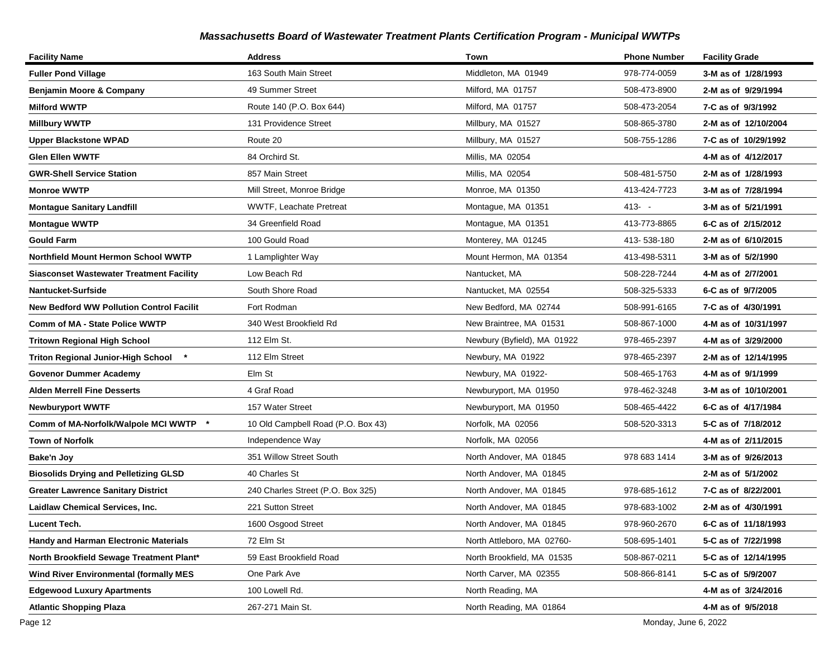| <b>Facility Name</b>                                      | <b>Address</b>                     | Town                        | <b>Phone Number</b> | <b>Facility Grade</b> |
|-----------------------------------------------------------|------------------------------------|-----------------------------|---------------------|-----------------------|
| <b>Fuller Pond Village</b>                                | 163 South Main Street              | Middleton, MA 01949         | 978-774-0059        | 3-M as of 1/28/1993   |
| Benjamin Moore & Company                                  | 49 Summer Street                   | Milford, MA 01757           | 508-473-8900        | 2-M as of 9/29/1994   |
| <b>Milford WWTP</b>                                       | Route 140 (P.O. Box 644)           | Milford, MA 01757           | 508-473-2054        | 7-C as of 9/3/1992    |
| <b>Millbury WWTP</b>                                      | 131 Providence Street              | Millbury, MA 01527          | 508-865-3780        | 2-M as of 12/10/2004  |
| <b>Upper Blackstone WPAD</b>                              | Route 20                           | Millbury, MA 01527          | 508-755-1286        | 7-C as of 10/29/1992  |
| <b>Glen Ellen WWTF</b>                                    | 84 Orchird St.                     | Millis, MA 02054            |                     | 4-M as of 4/12/2017   |
| <b>GWR-Shell Service Station</b>                          | 857 Main Street                    | Millis, MA 02054            | 508-481-5750        | 2-M as of 1/28/1993   |
| <b>Monroe WWTP</b>                                        | Mill Street, Monroe Bridge         | Monroe, MA 01350            | 413-424-7723        | 3-M as of 7/28/1994   |
| <b>Montague Sanitary Landfill</b>                         | <b>WWTF, Leachate Pretreat</b>     | Montague, MA 01351          | $413 - -$           | 3-M as of 5/21/1991   |
| <b>Montague WWTP</b>                                      | 34 Greenfield Road                 | Montague, MA 01351          | 413-773-8865        | 6-C as of 2/15/2012   |
| <b>Gould Farm</b>                                         | 100 Gould Road                     | Monterey, MA 01245          | 413-538-180         | 2-M as of 6/10/2015   |
| Northfield Mount Hermon School WWTP                       | 1 Lamplighter Way                  | Mount Hermon, MA 01354      | 413-498-5311        | 3-M as of 5/2/1990    |
| <b>Siasconset Wastewater Treatment Facility</b>           | Low Beach Rd                       | Nantucket, MA               | 508-228-7244        | 4-M as of 2/7/2001    |
| Nantucket-Surfside                                        | South Shore Road                   | Nantucket, MA 02554         | 508-325-5333        | 6-C as of 9/7/2005    |
| <b>New Bedford WW Pollution Control Facilit</b>           | Fort Rodman                        | New Bedford, MA 02744       | 508-991-6165        | 7-C as of 4/30/1991   |
| <b>Comm of MA - State Police WWTP</b>                     | 340 West Brookfield Rd             | New Braintree, MA 01531     | 508-867-1000        | 4-M as of 10/31/1997  |
| <b>Tritown Regional High School</b>                       | 112 Elm St.                        | Newbury (Byfield), MA 01922 | 978-465-2397        | 4-M as of 3/29/2000   |
| <b>Triton Regional Junior-High School</b><br>$\pmb{\ast}$ | 112 Elm Street                     | Newbury, MA 01922           | 978-465-2397        | 2-M as of 12/14/1995  |
| <b>Govenor Dummer Academy</b>                             | Elm St                             | Newbury, MA 01922-          | 508-465-1763        | 4-M as of 9/1/1999    |
| <b>Alden Merrell Fine Desserts</b>                        | 4 Graf Road                        | Newburyport, MA 01950       | 978-462-3248        | 3-M as of 10/10/2001  |
| <b>Newburyport WWTF</b>                                   | 157 Water Street                   | Newburyport, MA 01950       | 508-465-4422        | 6-C as of 4/17/1984   |
| Comm of MA-Norfolk/Walpole MCI WWTP<br>$\star$            | 10 Old Campbell Road (P.O. Box 43) | Norfolk, MA 02056           | 508-520-3313        | 5-C as of 7/18/2012   |
| <b>Town of Norfolk</b>                                    | Independence Way                   | Norfolk, MA 02056           |                     | 4-M as of 2/11/2015   |
| Bake'n Joy                                                | 351 Willow Street South            | North Andover, MA 01845     | 978 683 1414        | 3-M as of 9/26/2013   |
| <b>Biosolids Drying and Pelletizing GLSD</b>              | 40 Charles St                      | North Andover, MA 01845     |                     | 2-M as of 5/1/2002    |
| <b>Greater Lawrence Sanitary District</b>                 | 240 Charles Street (P.O. Box 325)  | North Andover, MA 01845     | 978-685-1612        | 7-C as of 8/22/2001   |
| Laidlaw Chemical Services, Inc.                           | 221 Sutton Street                  | North Andover, MA 01845     | 978-683-1002        | 2-M as of 4/30/1991   |
| <b>Lucent Tech.</b>                                       | 1600 Osgood Street                 | North Andover, MA 01845     | 978-960-2670        | 6-C as of 11/18/1993  |
| <b>Handy and Harman Electronic Materials</b>              | 72 Elm St                          | North Attleboro, MA 02760-  | 508-695-1401        | 5-C as of 7/22/1998   |
| North Brookfield Sewage Treatment Plant*                  | 59 East Brookfield Road            | North Brookfield, MA 01535  | 508-867-0211        | 5-C as of 12/14/1995  |
| <b>Wind River Environmental (formally MES</b>             | One Park Ave                       | North Carver, MA 02355      | 508-866-8141        | 5-C as of 5/9/2007    |
| <b>Edgewood Luxury Apartments</b>                         | 100 Lowell Rd.                     | North Reading, MA           |                     | 4-M as of 3/24/2016   |
| <b>Atlantic Shopping Plaza</b>                            | 267-271 Main St.                   | North Reading, MA 01864     |                     | 4-M as of 9/5/2018    |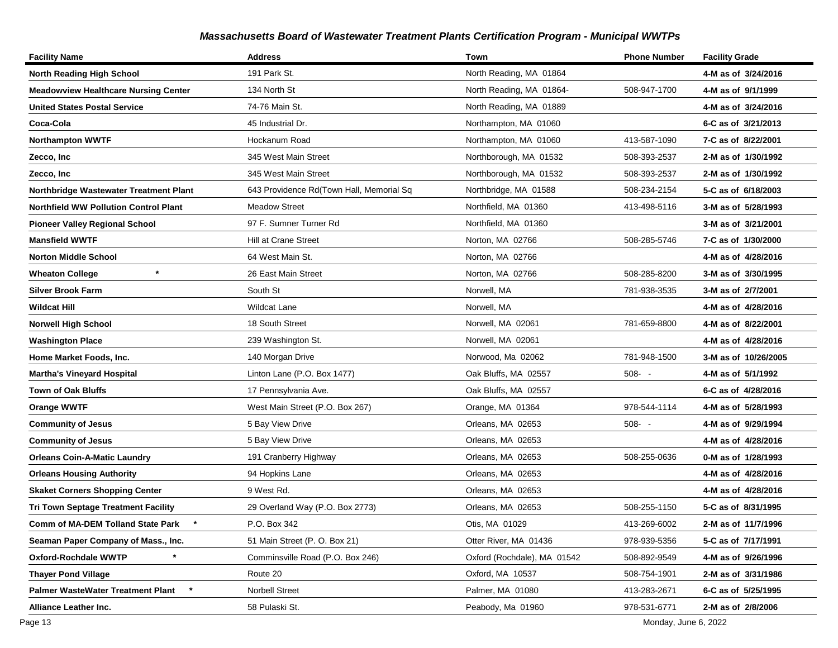| <b>Facility Name</b>                         | <b>Address</b>                           | Town                        | <b>Phone Number</b> | <b>Facility Grade</b> |
|----------------------------------------------|------------------------------------------|-----------------------------|---------------------|-----------------------|
| <b>North Reading High School</b>             | 191 Park St.                             | North Reading, MA 01864     |                     | 4-M as of 3/24/2016   |
| <b>Meadowview Healthcare Nursing Center</b>  | 134 North St                             | North Reading, MA 01864-    | 508-947-1700        | 4-M as of 9/1/1999    |
| <b>United States Postal Service</b>          | 74-76 Main St.                           | North Reading, MA 01889     |                     | 4-M as of 3/24/2016   |
| Coca-Cola                                    | 45 Industrial Dr.                        | Northampton, MA 01060       |                     | 6-C as of 3/21/2013   |
| <b>Northampton WWTF</b>                      | Hockanum Road                            | Northampton, MA 01060       | 413-587-1090        | 7-C as of 8/22/2001   |
| Zecco, Inc                                   | 345 West Main Street                     | Northborough, MA 01532      | 508-393-2537        | 2-M as of 1/30/1992   |
| Zecco, Inc                                   | 345 West Main Street                     | Northborough, MA 01532      | 508-393-2537        | 2-M as of 1/30/1992   |
| Northbridge Wastewater Treatment Plant       | 643 Providence Rd(Town Hall, Memorial Sq | Northbridge, MA 01588       | 508-234-2154        | 5-C as of 6/18/2003   |
| <b>Northfield WW Pollution Control Plant</b> | <b>Meadow Street</b>                     | Northfield, MA 01360        | 413-498-5116        | 3-M as of 5/28/1993   |
| <b>Pioneer Valley Regional School</b>        | 97 F. Sumner Turner Rd                   | Northfield, MA 01360        |                     | 3-M as of 3/21/2001   |
| <b>Mansfield WWTF</b>                        | Hill at Crane Street                     | Norton, MA 02766            | 508-285-5746        | 7-C as of 1/30/2000   |
| Norton Middle School                         | 64 West Main St.                         | Norton, MA 02766            |                     | 4-M as of 4/28/2016   |
| $\star$<br><b>Wheaton College</b>            | 26 East Main Street                      | Norton, MA 02766            | 508-285-8200        | 3-M as of 3/30/1995   |
| <b>Silver Brook Farm</b>                     | South St                                 | Norwell, MA                 | 781-938-3535        | 3-M as of 2/7/2001    |
| Wildcat Hill                                 | <b>Wildcat Lane</b>                      | Norwell, MA                 |                     | 4-M as of 4/28/2016   |
| <b>Norwell High School</b>                   | 18 South Street                          | Norwell, MA 02061           | 781-659-8800        | 4-M as of 8/22/2001   |
| <b>Washington Place</b>                      | 239 Washington St.                       | Norwell, MA 02061           |                     | 4-M as of 4/28/2016   |
| Home Market Foods, Inc.                      | 140 Morgan Drive                         | Norwood, Ma 02062           | 781-948-1500        | 3-M as of 10/26/2005  |
| <b>Martha's Vineyard Hospital</b>            | Linton Lane (P.O. Box 1477)              | Oak Bluffs, MA 02557        | $508 - -$           | 4-M as of 5/1/1992    |
| Town of Oak Bluffs                           | 17 Pennsylvania Ave.                     | Oak Bluffs, MA 02557        |                     | 6-C as of 4/28/2016   |
| Orange WWTF                                  | West Main Street (P.O. Box 267)          | Orange, MA 01364            | 978-544-1114        | 4-M as of 5/28/1993   |
| <b>Community of Jesus</b>                    | 5 Bay View Drive                         | Orleans, MA 02653           | $508 - -$           | 4-M as of 9/29/1994   |
| <b>Community of Jesus</b>                    | 5 Bay View Drive                         | Orleans, MA 02653           |                     | 4-M as of 4/28/2016   |
| Orleans Coin-A-Matic Laundry                 | 191 Cranberry Highway                    | Orleans, MA 02653           | 508-255-0636        | 0-M as of 1/28/1993   |
| <b>Orleans Housing Authority</b>             | 94 Hopkins Lane                          | Orleans, MA 02653           |                     | 4-M as of 4/28/2016   |
| <b>Skaket Corners Shopping Center</b>        | 9 West Rd.                               | Orleans, MA 02653           |                     | 4-M as of 4/28/2016   |
| <b>Tri Town Septage Treatment Facility</b>   | 29 Overland Way (P.O. Box 2773)          | Orleans, MA 02653           | 508-255-1150        | 5-C as of 8/31/1995   |
| Comm of MA-DEM Tolland State Park *          | P.O. Box 342                             | Otis, MA 01029              | 413-269-6002        | 2-M as of 11/7/1996   |
| Seaman Paper Company of Mass., Inc.          | 51 Main Street (P. O. Box 21)            | Otter River, MA 01436       | 978-939-5356        | 5-C as of 7/17/1991   |
| Oxford-Rochdale WWTP                         | Comminsville Road (P.O. Box 246)         | Oxford (Rochdale), MA 01542 | 508-892-9549        | 4-M as of 9/26/1996   |
| <b>Thayer Pond Village</b>                   | Route 20                                 | Oxford, MA 10537            | 508-754-1901        | 2-M as of 3/31/1986   |
| Palmer WasteWater Treatment Plant            | <b>Norbell Street</b>                    | Palmer, MA 01080            | 413-283-2671        | 6-C as of 5/25/1995   |
| Alliance Leather Inc.                        | 58 Pulaski St.                           | Peabody, Ma 01960           | 978-531-6771        | 2-M as of 2/8/2006    |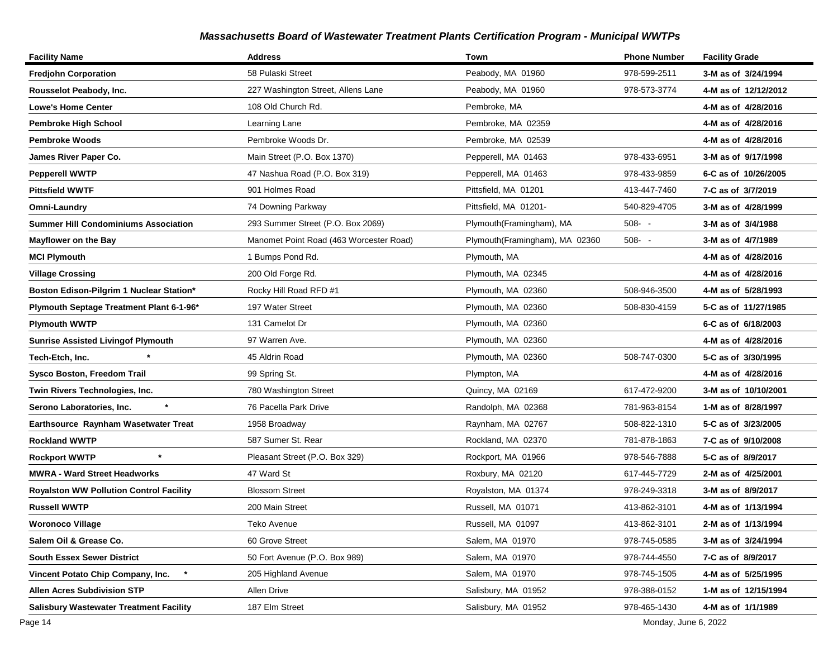| <b>Facility Name</b>                           | <b>Address</b>                          | Town                           | <b>Phone Number</b> | <b>Facility Grade</b> |
|------------------------------------------------|-----------------------------------------|--------------------------------|---------------------|-----------------------|
| <b>Fredjohn Corporation</b>                    | 58 Pulaski Street                       | Peabody, MA 01960              | 978-599-2511        | 3-M as of 3/24/1994   |
| Rousselot Peabody, Inc.                        | 227 Washington Street, Allens Lane      | Peabody, MA 01960              | 978-573-3774        | 4-M as of 12/12/2012  |
| <b>Lowe's Home Center</b>                      | 108 Old Church Rd.                      | Pembroke, MA                   |                     | 4-M as of 4/28/2016   |
| Pembroke High School                           | Learning Lane                           | Pembroke, MA 02359             |                     | 4-M as of 4/28/2016   |
| <b>Pembroke Woods</b>                          | Pembroke Woods Dr.                      | Pembroke, MA 02539             |                     | 4-M as of 4/28/2016   |
| James River Paper Co.                          | Main Street (P.O. Box 1370)             | Pepperell, MA 01463            | 978-433-6951        | 3-M as of 9/17/1998   |
| <b>Pepperell WWTP</b>                          | 47 Nashua Road (P.O. Box 319)           | Pepperell, MA 01463            | 978-433-9859        | 6-C as of 10/26/2005  |
| <b>Pittsfield WWTF</b>                         | 901 Holmes Road                         | Pittsfield, MA 01201           | 413-447-7460        | 7-C as of 3/7/2019    |
| Omni-Laundry                                   | 74 Downing Parkway                      | Pittsfield, MA 01201-          | 540-829-4705        | 3-M as of 4/28/1999   |
| <b>Summer Hill Condominiums Association</b>    | 293 Summer Street (P.O. Box 2069)       | Plymouth(Framingham), MA       | $508 - -$           | 3-M as of 3/4/1988    |
| <b>Mayflower on the Bay</b>                    | Manomet Point Road (463 Worcester Road) | Plymouth(Framingham), MA 02360 | $508 - -$           | 3-M as of 4/7/1989    |
| <b>MCI Plymouth</b>                            | 1 Bumps Pond Rd.                        | Plymouth, MA                   |                     | 4-M as of 4/28/2016   |
| <b>Village Crossing</b>                        | 200 Old Forge Rd.                       | Plymouth, MA 02345             |                     | 4-M as of 4/28/2016   |
| Boston Edison-Pilgrim 1 Nuclear Station*       | Rocky Hill Road RFD #1                  | Plymouth, MA 02360             | 508-946-3500        | 4-M as of 5/28/1993   |
| Plymouth Septage Treatment Plant 6-1-96*       | 197 Water Street                        | Plymouth, MA 02360             | 508-830-4159        | 5-C as of 11/27/1985  |
| <b>Plymouth WWTP</b>                           | 131 Camelot Dr                          | Plymouth, MA 02360             |                     | 6-C as of 6/18/2003   |
| <b>Sunrise Assisted Livingof Plymouth</b>      | 97 Warren Ave.                          | Plymouth, MA 02360             |                     | 4-M as of 4/28/2016   |
| Tech-Etch, Inc.                                | 45 Aldrin Road                          | Plymouth, MA 02360             | 508-747-0300        | 5-C as of 3/30/1995   |
| <b>Sysco Boston, Freedom Trail</b>             | 99 Spring St.                           | Plympton, MA                   |                     | 4-M as of 4/28/2016   |
| Twin Rivers Technologies, Inc.                 | 780 Washington Street                   | Quincy, MA 02169               | 617-472-9200        | 3-M as of 10/10/2001  |
| Serono Laboratories, Inc.                      | 76 Pacella Park Drive                   | Randolph, MA 02368             | 781-963-8154        | 1-M as of 8/28/1997   |
| Earthsource Raynham Wasetwater Treat           | 1958 Broadway                           | Raynham, MA 02767              | 508-822-1310        | 5-C as of 3/23/2005   |
| <b>Rockland WWTP</b>                           | 587 Sumer St. Rear                      | Rockland, MA 02370             | 781-878-1863        | 7-C as of 9/10/2008   |
| <b>Rockport WWTP</b>                           | Pleasant Street (P.O. Box 329)          | Rockport, MA 01966             | 978-546-7888        | 5-C as of 8/9/2017    |
| <b>MWRA - Ward Street Headworks</b>            | 47 Ward St                              | Roxbury, MA 02120              | 617-445-7729        | 2-M as of 4/25/2001   |
| <b>Royalston WW Pollution Control Facility</b> | <b>Blossom Street</b>                   | Royalston, MA 01374            | 978-249-3318        | 3-M as of 8/9/2017    |
| <b>Russell WWTP</b>                            | 200 Main Street                         | Russell, MA 01071              | 413-862-3101        | 4-M as of 1/13/1994   |
| <b>Woronoco Village</b>                        | Teko Avenue                             | Russell, MA 01097              | 413-862-3101        | 2-M as of 1/13/1994   |
| Salem Oil & Grease Co.                         | 60 Grove Street                         | Salem, MA 01970                | 978-745-0585        | 3-M as of 3/24/1994   |
| <b>South Essex Sewer District</b>              | 50 Fort Avenue (P.O. Box 989)           | Salem, MA 01970                | 978-744-4550        | 7-C as of 8/9/2017    |
| Vincent Potato Chip Company, Inc.              | 205 Highland Avenue                     | Salem, MA 01970                | 978-745-1505        | 4-M as of 5/25/1995   |
| <b>Allen Acres Subdivision STP</b>             | Allen Drive                             | Salisbury, MA 01952            | 978-388-0152        | 1-M as of 12/15/1994  |
| <b>Salisbury Wastewater Treatment Facility</b> | 187 Elm Street                          | Salisbury, MA 01952            | 978-465-1430        | 4-M as of 1/1/1989    |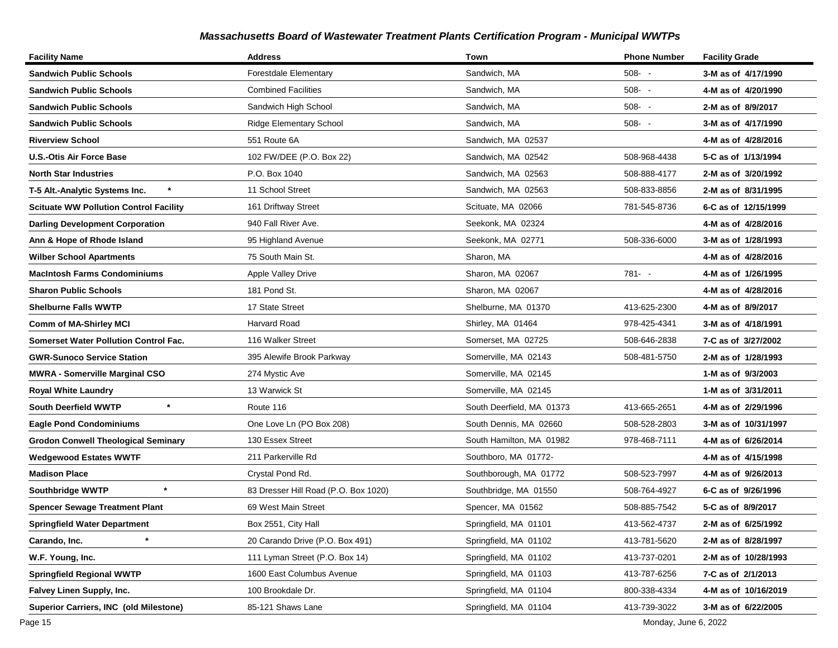| <b>Facility Name</b>                          | <b>Address</b>                       | Town                      | <b>Phone Number</b> | <b>Facility Grade</b> |
|-----------------------------------------------|--------------------------------------|---------------------------|---------------------|-----------------------|
| <b>Sandwich Public Schools</b>                | <b>Forestdale Elementary</b>         | Sandwich, MA              | $508 - -$           | 3-M as of 4/17/1990   |
| <b>Sandwich Public Schools</b>                | <b>Combined Facilities</b>           | Sandwich, MA              | $508 - -$           | 4-M as of 4/20/1990   |
| <b>Sandwich Public Schools</b>                | Sandwich High School                 | Sandwich, MA              | $508 - -$           | 2-M as of 8/9/2017    |
| <b>Sandwich Public Schools</b>                | <b>Ridge Elementary School</b>       | Sandwich, MA              | $508 - -$           | 3-M as of 4/17/1990   |
| <b>Riverview School</b>                       | 551 Route 6A                         | Sandwich, MA 02537        |                     | 4-M as of 4/28/2016   |
| U.S.-Otis Air Force Base                      | 102 FW/DEE (P.O. Box 22)             | Sandwich, MA 02542        | 508-968-4438        | 5-C as of 1/13/1994   |
| <b>North Star Industries</b>                  | P.O. Box 1040                        | Sandwich, MA 02563        | 508-888-4177        | 2-M as of 3/20/1992   |
| T-5 Alt.-Analytic Systems Inc.                | 11 School Street                     | Sandwich, MA 02563        | 508-833-8856        | 2-M as of 8/31/1995   |
| <b>Scituate WW Pollution Control Facility</b> | 161 Driftway Street                  | Scituate, MA 02066        | 781-545-8736        | 6-C as of 12/15/1999  |
| <b>Darling Development Corporation</b>        | 940 Fall River Ave.                  | Seekonk, MA 02324         |                     | 4-M as of 4/28/2016   |
| Ann & Hope of Rhode Island                    | 95 Highland Avenue                   | Seekonk, MA 02771         | 508-336-6000        | 3-M as of 1/28/1993   |
| <b>Wilber School Apartments</b>               | 75 South Main St.                    | Sharon, MA                |                     | 4-M as of 4/28/2016   |
| <b>MacIntosh Farms Condominiums</b>           | Apple Valley Drive                   | Sharon, MA 02067          | $781 - -$           | 4-M as of 1/26/1995   |
| <b>Sharon Public Schools</b>                  | 181 Pond St.                         | Sharon, MA 02067          |                     | 4-M as of 4/28/2016   |
| <b>Shelburne Falls WWTP</b>                   | 17 State Street                      | Shelburne, MA 01370       | 413-625-2300        | 4-M as of 8/9/2017    |
| <b>Comm of MA-Shirley MCI</b>                 | <b>Harvard Road</b>                  | Shirley, MA 01464         | 978-425-4341        | 3-M as of 4/18/1991   |
| <b>Somerset Water Pollution Control Fac.</b>  | 116 Walker Street                    | Somerset, MA 02725        | 508-646-2838        | 7-C as of 3/27/2002   |
| <b>GWR-Sunoco Service Station</b>             | 395 Alewife Brook Parkway            | Somerville, MA 02143      | 508-481-5750        | 2-M as of 1/28/1993   |
| <b>MWRA - Somerville Marginal CSO</b>         | 274 Mystic Ave                       | Somerville, MA 02145      |                     | 1-M as of 9/3/2003    |
| <b>Royal White Laundry</b>                    | 13 Warwick St                        | Somerville, MA 02145      |                     | 1-M as of 3/31/2011   |
| $\star$<br><b>South Deerfield WWTP</b>        | Route 116                            | South Deerfield, MA 01373 | 413-665-2651        | 4-M as of 2/29/1996   |
| <b>Eagle Pond Condominiums</b>                | One Love Ln (PO Box 208)             | South Dennis, MA 02660    | 508-528-2803        | 3-M as of 10/31/1997  |
| <b>Grodon Conwell Theological Seminary</b>    | 130 Essex Street                     | South Hamilton, MA 01982  | 978-468-7111        | 4-M as of 6/26/2014   |
| <b>Wedgewood Estates WWTF</b>                 | 211 Parkerville Rd                   | Southboro, MA 01772-      |                     | 4-M as of 4/15/1998   |
| <b>Madison Place</b>                          | Crystal Pond Rd.                     | Southborough, MA 01772    | 508-523-7997        | 4-M as of 9/26/2013   |
| $\star$<br><b>Southbridge WWTP</b>            | 83 Dresser Hill Road (P.O. Box 1020) | Southbridge, MA 01550     | 508-764-4927        | 6-C as of 9/26/1996   |
| <b>Spencer Sewage Treatment Plant</b>         | 69 West Main Street                  | Spencer, MA 01562         | 508-885-7542        | 5-C as of 8/9/2017    |
| <b>Springfield Water Department</b>           | Box 2551, City Hall                  | Springfield, MA 01101     | 413-562-4737        | 2-M as of 6/25/1992   |
| $^\star$<br>Carando, Inc.                     | 20 Carando Drive (P.O. Box 491)      | Springfield, MA 01102     | 413-781-5620        | 2-M as of 8/28/1997   |
| W.F. Young, Inc.                              | 111 Lyman Street (P.O. Box 14)       | Springfield, MA 01102     | 413-737-0201        | 2-M as of 10/28/1993  |
| <b>Springfield Regional WWTP</b>              | 1600 East Columbus Avenue            | Springfield, MA 01103     | 413-787-6256        | 7-C as of 2/1/2013    |
| Falvey Linen Supply, Inc.                     | 100 Brookdale Dr.                    | Springfield, MA 01104     | 800-338-4334        | 4-M as of 10/16/2019  |
| Superior Carriers, INC (old Milestone)        | 85-121 Shaws Lane                    | Springfield, MA 01104     | 413-739-3022        | 3-M as of 6/22/2005   |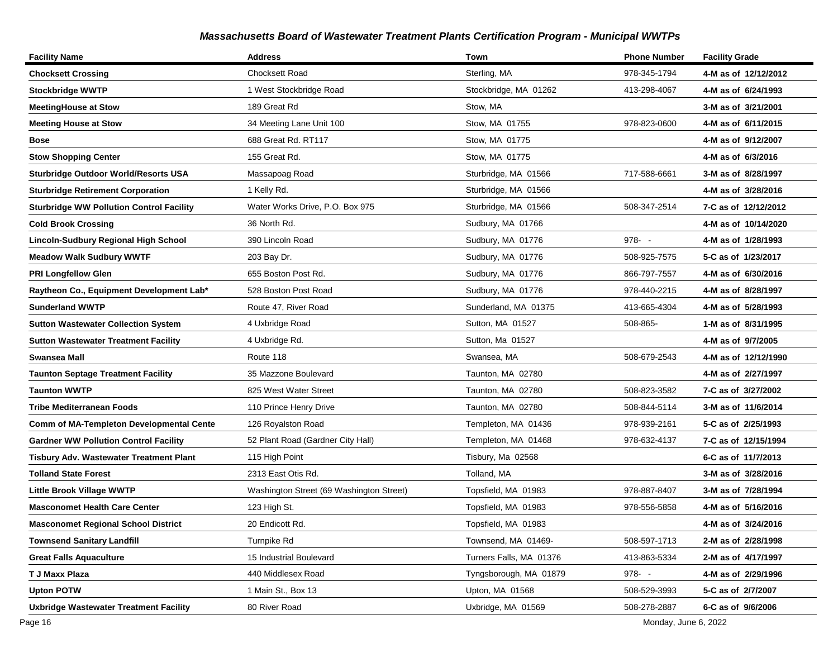| <b>Facility Name</b>                            | <b>Address</b>                           | Town                    | <b>Phone Number</b> | <b>Facility Grade</b> |
|-------------------------------------------------|------------------------------------------|-------------------------|---------------------|-----------------------|
| <b>Chocksett Crossing</b>                       | <b>Chocksett Road</b>                    | Sterling, MA            | 978-345-1794        | 4-M as of 12/12/2012  |
| <b>Stockbridge WWTP</b>                         | 1 West Stockbridge Road                  | Stockbridge, MA 01262   | 413-298-4067        | 4-M as of 6/24/1993   |
| <b>MeetingHouse at Stow</b>                     | 189 Great Rd                             | Stow, MA                |                     | 3-M as of 3/21/2001   |
| <b>Meeting House at Stow</b>                    | 34 Meeting Lane Unit 100                 | Stow, MA 01755          | 978-823-0600        | 4-M as of 6/11/2015   |
| Bose                                            | 688 Great Rd. RT117                      | Stow, MA 01775          |                     | 4-M as of 9/12/2007   |
| <b>Stow Shopping Center</b>                     | 155 Great Rd.                            | Stow, MA 01775          |                     | 4-M as of 6/3/2016    |
| <b>Sturbridge Outdoor World/Resorts USA</b>     | Massapoag Road                           | Sturbridge, MA 01566    | 717-588-6661        | 3-M as of 8/28/1997   |
| <b>Sturbridge Retirement Corporation</b>        | 1 Kelly Rd.                              | Sturbridge, MA 01566    |                     | 4-M as of 3/28/2016   |
| <b>Sturbridge WW Pollution Control Facility</b> | Water Works Drive, P.O. Box 975          | Sturbridge, MA 01566    | 508-347-2514        | 7-C as of 12/12/2012  |
| Cold Brook Crossing                             | 36 North Rd.                             | Sudbury, MA 01766       |                     | 4-M as of 10/14/2020  |
| Lincoln-Sudbury Regional High School            | 390 Lincoln Road                         | Sudbury, MA 01776       | $978 - -$           | 4-M as of 1/28/1993   |
| <b>Meadow Walk Sudbury WWTF</b>                 | 203 Bay Dr.                              | Sudbury, MA 01776       | 508-925-7575        | 5-C as of 1/23/2017   |
| <b>PRI Longfellow Glen</b>                      | 655 Boston Post Rd.                      | Sudbury, MA 01776       | 866-797-7557        | 4-M as of 6/30/2016   |
| Raytheon Co., Equipment Development Lab*        | 528 Boston Post Road                     | Sudbury, MA 01776       | 978-440-2215        | 4-M as of 8/28/1997   |
| <b>Sunderland WWTP</b>                          | Route 47, River Road                     | Sunderland, MA 01375    | 413-665-4304        | 4-M as of 5/28/1993   |
| <b>Sutton Wastewater Collection System</b>      | 4 Uxbridge Road                          | Sutton, MA 01527        | 508-865-            | 1-M as of 8/31/1995   |
| <b>Sutton Wastewater Treatment Facility</b>     | 4 Uxbridge Rd.                           | Sutton, Ma 01527        |                     | 4-M as of 9/7/2005    |
| Swansea Mall                                    | Route 118                                | Swansea, MA             | 508-679-2543        | 4-M as of 12/12/1990  |
| <b>Taunton Septage Treatment Facility</b>       | 35 Mazzone Boulevard                     | Taunton, MA 02780       |                     | 4-M as of 2/27/1997   |
| Taunton WWTP                                    | 825 West Water Street                    | Taunton, MA 02780       | 508-823-3582        | 7-C as of 3/27/2002   |
| Tribe Mediterranean Foods                       | 110 Prince Henry Drive                   | Taunton, MA 02780       | 508-844-5114        | 3-M as of 11/6/2014   |
| <b>Comm of MA-Templeton Developmental Cente</b> | 126 Royalston Road                       | Templeton, MA 01436     | 978-939-2161        | 5-C as of 2/25/1993   |
| <b>Gardner WW Pollution Control Facility</b>    | 52 Plant Road (Gardner City Hall)        | Templeton, MA 01468     | 978-632-4137        | 7-C as of 12/15/1994  |
| Tisbury Adv. Wastewater Treatment Plant         | 115 High Point                           | Tisbury, Ma 02568       |                     | 6-C as of 11/7/2013   |
| <b>Tolland State Forest</b>                     | 2313 East Otis Rd.                       | Tolland, MA             |                     | 3-M as of 3/28/2016   |
| <b>Little Brook Village WWTP</b>                | Washington Street (69 Washington Street) | Topsfield, MA 01983     | 978-887-8407        | 3-M as of 7/28/1994   |
| <b>Masconomet Health Care Center</b>            | 123 High St.                             | Topsfield, MA 01983     | 978-556-5858        | 4-M as of 5/16/2016   |
| <b>Masconomet Regional School District</b>      | 20 Endicott Rd.                          | Topsfield, MA 01983     |                     | 4-M as of 3/24/2016   |
| <b>Townsend Sanitary Landfill</b>               | Turnpike Rd                              | Townsend, MA 01469-     | 508-597-1713        | 2-M as of 2/28/1998   |
| <b>Great Falls Aquaculture</b>                  | 15 Industrial Boulevard                  | Turners Falls, MA 01376 | 413-863-5334        | 2-M as of 4/17/1997   |
| T J Maxx Plaza                                  | 440 Middlesex Road                       | Tyngsborough, MA 01879  | 978--               | 4-M as of 2/29/1996   |
| <b>Upton POTW</b>                               | 1 Main St., Box 13                       | Upton, MA 01568         | 508-529-3993        | 5-C as of 2/7/2007    |
| <b>Uxbridge Wastewater Treatment Facility</b>   | 80 River Road                            | Uxbridge, MA 01569      | 508-278-2887        | 6-C as of 9/6/2006    |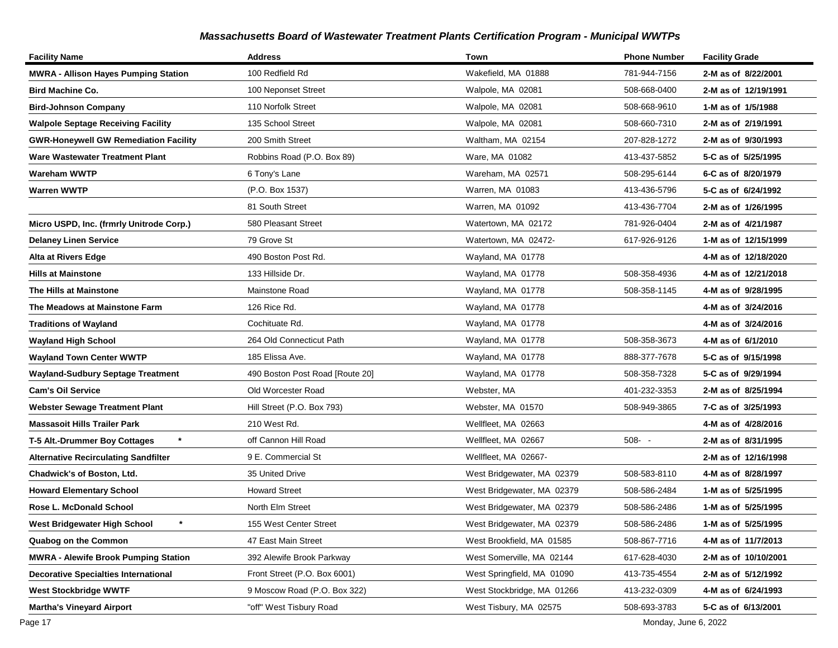| <b>Facility Name</b>                         | <b>Address</b>                  | Town                       | <b>Phone Number</b> | <b>Facility Grade</b> |
|----------------------------------------------|---------------------------------|----------------------------|---------------------|-----------------------|
| <b>MWRA - Allison Hayes Pumping Station</b>  | 100 Redfield Rd                 | Wakefield, MA 01888        | 781-944-7156        | 2-M as of 8/22/2001   |
| <b>Bird Machine Co.</b>                      | 100 Neponset Street             | Walpole, MA 02081          | 508-668-0400        | 2-M as of 12/19/1991  |
| Bird-Johnson Company                         | 110 Norfolk Street              | Walpole, MA 02081          | 508-668-9610        | 1-M as of 1/5/1988    |
| <b>Walpole Septage Receiving Facility</b>    | 135 School Street               | Walpole, MA 02081          | 508-660-7310        | 2-M as of 2/19/1991   |
| <b>GWR-Honeywell GW Remediation Facility</b> | 200 Smith Street                | Waltham, MA 02154          | 207-828-1272        | 2-M as of 9/30/1993   |
| Ware Wastewater Treatment Plant              | Robbins Road (P.O. Box 89)      | Ware, MA 01082             | 413-437-5852        | 5-C as of 5/25/1995   |
| Wareham WWTP                                 | 6 Tony's Lane                   | Wareham, MA 02571          | 508-295-6144        | 6-C as of 8/20/1979   |
| Warren WWTP                                  | (P.O. Box 1537)                 | Warren, MA 01083           | 413-436-5796        | 5-C as of 6/24/1992   |
|                                              | 81 South Street                 | Warren, MA 01092           | 413-436-7704        | 2-M as of 1/26/1995   |
| Micro USPD, Inc. (frmrly Unitrode Corp.)     | 580 Pleasant Street             | Watertown, MA 02172        | 781-926-0404        | 2-M as of 4/21/1987   |
| <b>Delaney Linen Service</b>                 | 79 Grove St                     | Watertown, MA 02472-       | 617-926-9126        | 1-M as of 12/15/1999  |
| Alta at Rivers Edge                          | 490 Boston Post Rd.             | Wayland, MA 01778          |                     | 4-M as of 12/18/2020  |
| <b>Hills at Mainstone</b>                    | 133 Hillside Dr.                | Wayland, MA 01778          | 508-358-4936        | 4-M as of 12/21/2018  |
| The Hills at Mainstone                       | Mainstone Road                  | Wayland, MA 01778          | 508-358-1145        | 4-M as of 9/28/1995   |
| The Meadows at Mainstone Farm                | 126 Rice Rd.                    | Wayland, MA 01778          |                     | 4-M as of 3/24/2016   |
| Traditions of Wayland                        | Cochituate Rd.                  | Wayland, MA 01778          |                     | 4-M as of 3/24/2016   |
| <b>Wayland High School</b>                   | 264 Old Connecticut Path        | Wayland, MA 01778          | 508-358-3673        | 4-M as of 6/1/2010    |
| <b>Wayland Town Center WWTP</b>              | 185 Elissa Ave.                 | Wayland, MA 01778          | 888-377-7678        | 5-C as of 9/15/1998   |
| <b>Wayland-Sudbury Septage Treatment</b>     | 490 Boston Post Road [Route 20] | Wayland, MA 01778          | 508-358-7328        | 5-C as of 9/29/1994   |
| <b>Cam's Oil Service</b>                     | Old Worcester Road              | Webster, MA                | 401-232-3353        | 2-M as of 8/25/1994   |
| <b>Webster Sewage Treatment Plant</b>        | Hill Street (P.O. Box 793)      | Webster, MA 01570          | 508-949-3865        | 7-C as of 3/25/1993   |
| Massasoit Hills Trailer Park                 | 210 West Rd.                    | Wellfleet, MA 02663        |                     | 4-M as of 4/28/2016   |
| $\star$<br>T-5 Alt.-Drummer Boy Cottages     | off Cannon Hill Road            | Wellfleet, MA 02667        | $508 - -$           | 2-M as of 8/31/1995   |
| <b>Alternative Recirculating Sandfilter</b>  | 9 E. Commercial St              | Wellfleet, MA 02667-       |                     | 2-M as of 12/16/1998  |
| Chadwick's of Boston, Ltd.                   | 35 United Drive                 | West Bridgewater, MA 02379 | 508-583-8110        | 4-M as of 8/28/1997   |
| <b>Howard Elementary School</b>              | <b>Howard Street</b>            | West Bridgewater, MA 02379 | 508-586-2484        | 1-M as of 5/25/1995   |
| Rose L. McDonald School                      | North Elm Street                | West Bridgewater, MA 02379 | 508-586-2486        | 1-M as of 5/25/1995   |
| West Bridgewater High School                 | 155 West Center Street          | West Bridgewater, MA 02379 | 508-586-2486        | 1-M as of 5/25/1995   |
| Quabog on the Common                         | 47 East Main Street             | West Brookfield, MA 01585  | 508-867-7716        | 4-M as of 11/7/2013   |
| <b>MWRA - Alewife Brook Pumping Station</b>  | 392 Alewife Brook Parkway       | West Somerville, MA 02144  | 617-628-4030        | 2-M as of 10/10/2001  |
| <b>Decorative Specialties International</b>  | Front Street (P.O. Box 6001)    | West Springfield, MA 01090 | 413-735-4554        | 2-M as of 5/12/1992   |
| West Stockbridge WWTF                        | 9 Moscow Road (P.O. Box 322)    | West Stockbridge, MA 01266 | 413-232-0309        | 4-M as of 6/24/1993   |
| <b>Martha's Vineyard Airport</b>             | "off" West Tisbury Road         | West Tisbury, MA 02575     | 508-693-3783        | 5-C as of 6/13/2001   |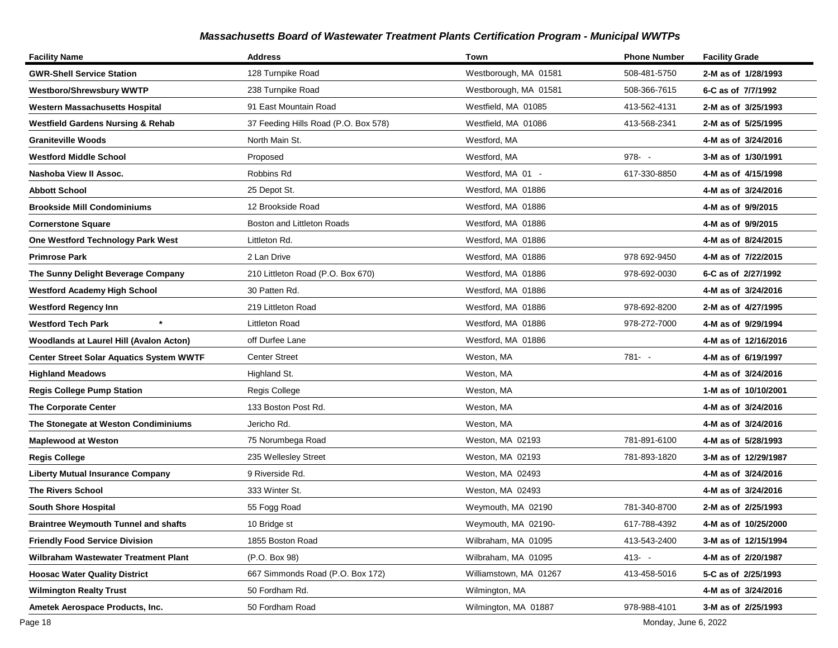| <b>Facility Name</b>                            | <b>Address</b>                       | Town                   | <b>Phone Number</b> | <b>Facility Grade</b> |
|-------------------------------------------------|--------------------------------------|------------------------|---------------------|-----------------------|
| <b>GWR-Shell Service Station</b>                | 128 Turnpike Road                    | Westborough, MA 01581  | 508-481-5750        | 2-M as of 1/28/1993   |
| <b>Westboro/Shrewsbury WWTP</b>                 | 238 Turnpike Road                    | Westborough, MA 01581  | 508-366-7615        | 6-C as of 7/7/1992    |
| <b>Western Massachusetts Hospital</b>           | 91 East Mountain Road                | Westfield, MA 01085    | 413-562-4131        | 2-M as of 3/25/1993   |
| <b>Westfield Gardens Nursing &amp; Rehab</b>    | 37 Feeding Hills Road (P.O. Box 578) | Westfield, MA 01086    | 413-568-2341        | 2-M as of 5/25/1995   |
| <b>Graniteville Woods</b>                       | North Main St.                       | Westford, MA           |                     | 4-M as of 3/24/2016   |
| <b>Westford Middle School</b>                   | Proposed                             | Westford, MA           | $978 - -$           | 3-M as of 1/30/1991   |
| Nashoba View II Assoc.                          | Robbins Rd                           | Westford, MA 01 -      | 617-330-8850        | 4-M as of 4/15/1998   |
| <b>Abbott School</b>                            | 25 Depot St.                         | Westford, MA 01886     |                     | 4-M as of 3/24/2016   |
| <b>Brookside Mill Condominiums</b>              | 12 Brookside Road                    | Westford, MA 01886     |                     | 4-M as of 9/9/2015    |
| <b>Cornerstone Square</b>                       | Boston and Littleton Roads           | Westford, MA 01886     |                     | 4-M as of 9/9/2015    |
| One Westford Technology Park West               | Littleton Rd.                        | Westford, MA 01886     |                     | 4-M as of 8/24/2015   |
| <b>Primrose Park</b>                            | 2 Lan Drive                          | Westford, MA 01886     | 978 692-9450        | 4-M as of 7/22/2015   |
| The Sunny Delight Beverage Company              | 210 Littleton Road (P.O. Box 670)    | Westford, MA 01886     | 978-692-0030        | 6-C as of 2/27/1992   |
| <b>Westford Academy High School</b>             | 30 Patten Rd.                        | Westford, MA 01886     |                     | 4-M as of 3/24/2016   |
| <b>Westford Regency Inn</b>                     | 219 Littleton Road                   | Westford, MA 01886     | 978-692-8200        | 2-M as of 4/27/1995   |
| <b>Westford Tech Park</b>                       | Littleton Road                       | Westford, MA 01886     | 978-272-7000        | 4-M as of 9/29/1994   |
| <b>Woodlands at Laurel Hill (Avalon Acton)</b>  | off Durfee Lane                      | Westford, MA 01886     |                     | 4-M as of 12/16/2016  |
| <b>Center Street Solar Aquatics System WWTF</b> | <b>Center Street</b>                 | Weston, MA             | 781- -              | 4-M as of 6/19/1997   |
| <b>Highland Meadows</b>                         | Highland St.                         | Weston, MA             |                     | 4-M as of 3/24/2016   |
| <b>Regis College Pump Station</b>               | Regis College                        | Weston, MA             |                     | 1-M as of 10/10/2001  |
| <b>The Corporate Center</b>                     | 133 Boston Post Rd.                  | Weston, MA             |                     | 4-M as of 3/24/2016   |
| The Stonegate at Weston Condiminiums            | Jericho Rd.                          | Weston, MA             |                     | 4-M as of 3/24/2016   |
| <b>Maplewood at Weston</b>                      | 75 Norumbega Road                    | Weston, MA 02193       | 781-891-6100        | 4-M as of 5/28/1993   |
| <b>Regis College</b>                            | 235 Wellesley Street                 | Weston, MA 02193       | 781-893-1820        | 3-M as of 12/29/1987  |
| <b>Liberty Mutual Insurance Company</b>         | 9 Riverside Rd.                      | Weston, MA 02493       |                     | 4-M as of 3/24/2016   |
| <b>The Rivers School</b>                        | 333 Winter St.                       | Weston, MA 02493       |                     | 4-M as of 3/24/2016   |
| <b>South Shore Hospital</b>                     | 55 Fogg Road                         | Weymouth, MA 02190     | 781-340-8700        | 2-M as of 2/25/1993   |
| <b>Braintree Weymouth Tunnel and shafts</b>     | 10 Bridge st                         | Weymouth, MA 02190-    | 617-788-4392        | 4-M as of 10/25/2000  |
| <b>Friendly Food Service Division</b>           | 1855 Boston Road                     | Wilbraham, MA 01095    | 413-543-2400        | 3-M as of 12/15/1994  |
| Wilbraham Wastewater Treatment Plant            | (P.O. Box 98)                        | Wilbraham, MA 01095    | $413 - -$           | 4-M as of 2/20/1987   |
| <b>Hoosac Water Quality District</b>            | 667 Simmonds Road (P.O. Box 172)     | Williamstown, MA 01267 | 413-458-5016        | 5-C as of 2/25/1993   |
| <b>Wilmington Realty Trust</b>                  | 50 Fordham Rd.                       | Wilmington, MA         |                     | 4-M as of 3/24/2016   |
| Ametek Aerospace Products, Inc.                 | 50 Fordham Road                      | Wilmington, MA 01887   | 978-988-4101        | 3-M as of 2/25/1993   |